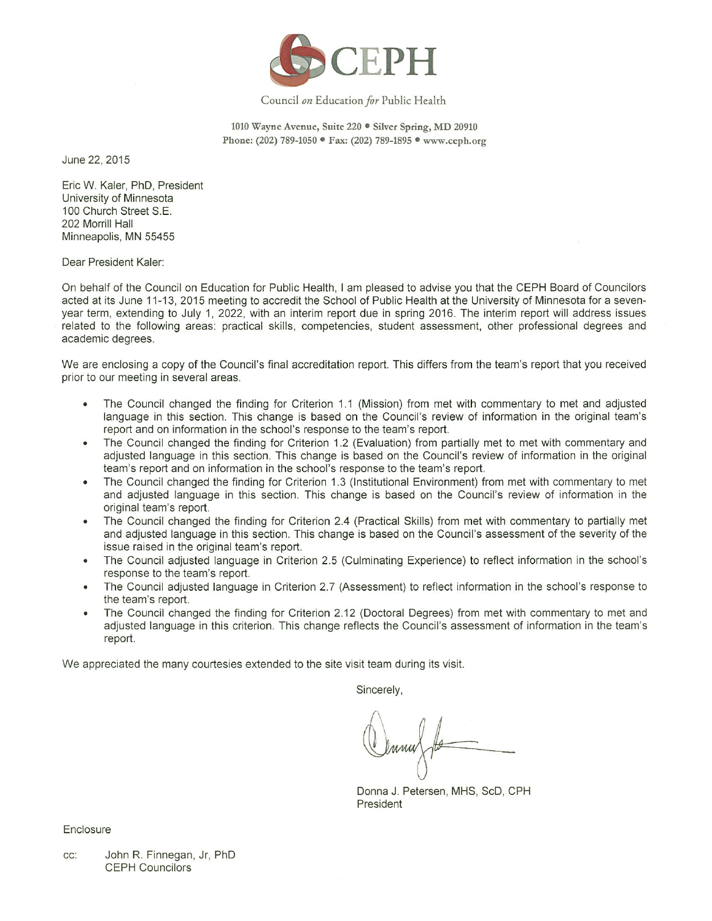

#### Council on Education for Public Health

1010 Wayne Avenue, Suite 220 · Silver Spring, MD 20910 Phone: (202) 789-1050 · Fax: (202) 789-1895 · www.ceph.org

June 22, 2015

Eric W. Kaler, PhD, President University of Minnesota 100 Church Street S.E. 202 Morrill Hall Minneapolis, MN 55455

Dear President Kaler:

On behalf of the Council on Education for Public Health, I am pleased to advise you that the CEPH Board of Councilors acted at its June 11-13, 2015 meeting to accredit the School of Public Health at the University of Minnesota for a sevenyear term, extending to July 1, 2022, with an interim report due in spring 2016. The interim report will address issues related to the following areas: practical skills, competencies, student assessment, other professional degrees and academic degrees.

We are enclosing a copy of the Council's final accreditation report. This differs from the team's report that you received prior to our meeting in several areas.

- The Council changed the finding for Criterion 1.1 (Mission) from met with commentary to met and adjusted  $\bullet$ language in this section. This change is based on the Council's review of information in the original team's report and on information in the school's response to the team's report.
- The Council changed the finding for Criterion 1.2 (Evaluation) from partially met to met with commentary and  $\bullet$ adjusted language in this section. This change is based on the Council's review of information in the original team's report and on information in the school's response to the team's report.
- The Council changed the finding for Criterion 1.3 (Institutional Environment) from met with commentary to met  $\bullet$ and adjusted language in this section. This change is based on the Council's review of information in the original team's report.
- The Council changed the finding for Criterion 2.4 (Practical Skills) from met with commentary to partially met and adjusted language in this section. This change is based on the Council's assessment of the severity of the issue raised in the original team's report.
- The Council adjusted language in Criterion 2.5 (Culminating Experience) to reflect information in the school's  $\bullet$ response to the team's report.
- The Council adjusted language in Criterion 2.7 (Assessment) to reflect information in the school's response to the team's report.
- The Council changed the finding for Criterion 2.12 (Doctoral Degrees) from met with commentary to met and adjusted language in this criterion. This change reflects the Council's assessment of information in the team's report.

We appreciated the many courtesies extended to the site visit team during its visit.

Sincerely,

Donna J. Petersen, MHS, ScD, CPH President

Enclosure

John R. Finnegan, Jr, PhD  $CC$ . **CEPH Councilors**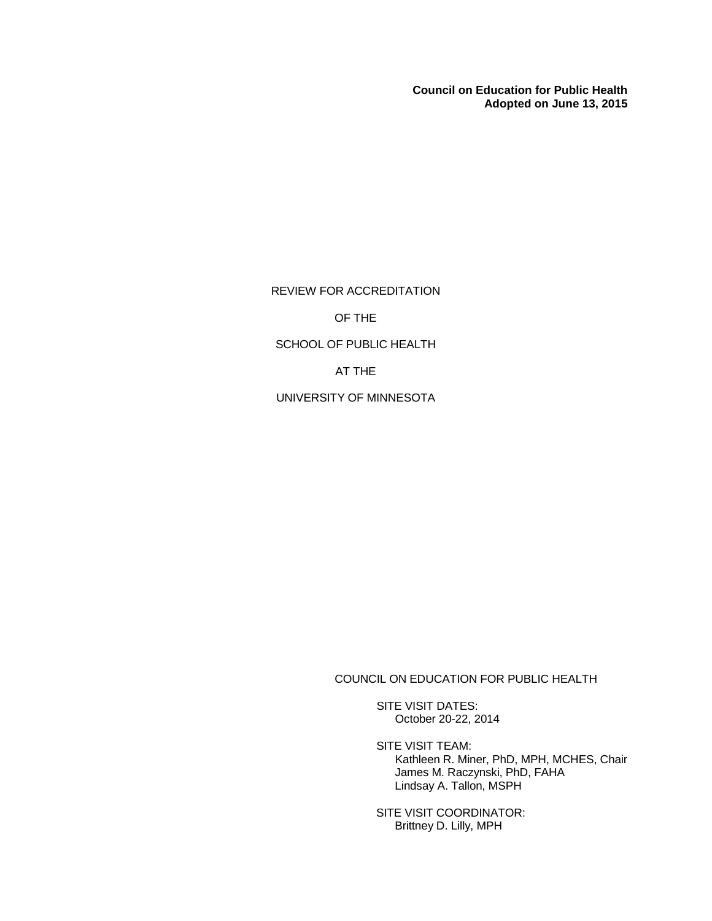**Council on Education for Public Health Adopted on June 13, 2015**

REVIEW FOR ACCREDITATION OF THE SCHOOL OF PUBLIC HEALTH AT THE UNIVERSITY OF MINNESOTA

COUNCIL ON EDUCATION FOR PUBLIC HEALTH

SITE VISIT DATES: October 20-22, 2014

SITE VISIT TEAM: Kathleen R. Miner, PhD, MPH, MCHES, Chair James M. Raczynski, PhD, FAHA Lindsay A. Tallon, MSPH

SITE VISIT COORDINATOR: Brittney D. Lilly, MPH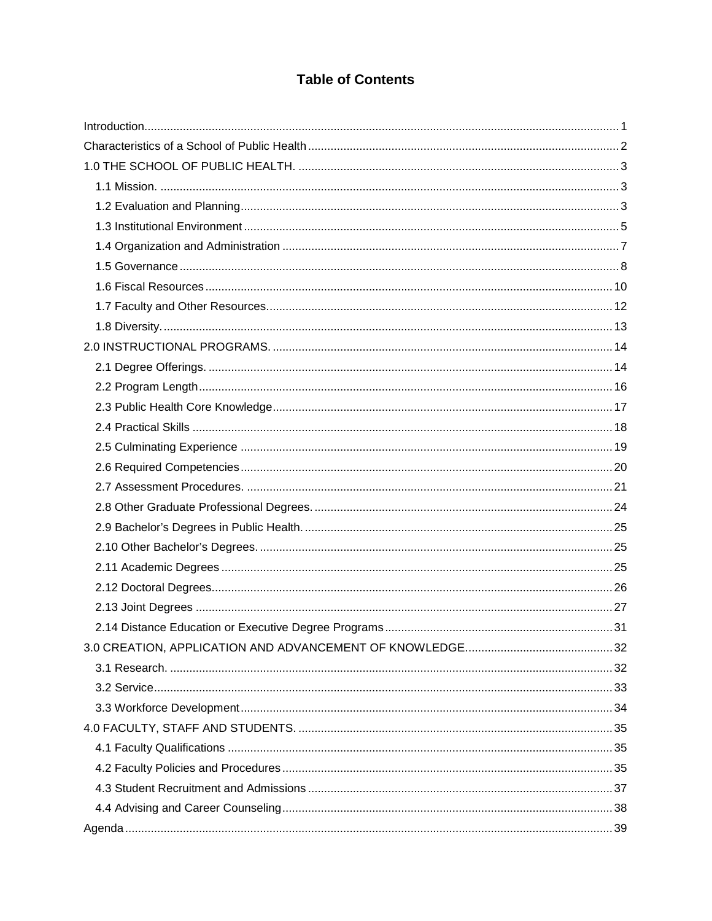# **Table of Contents**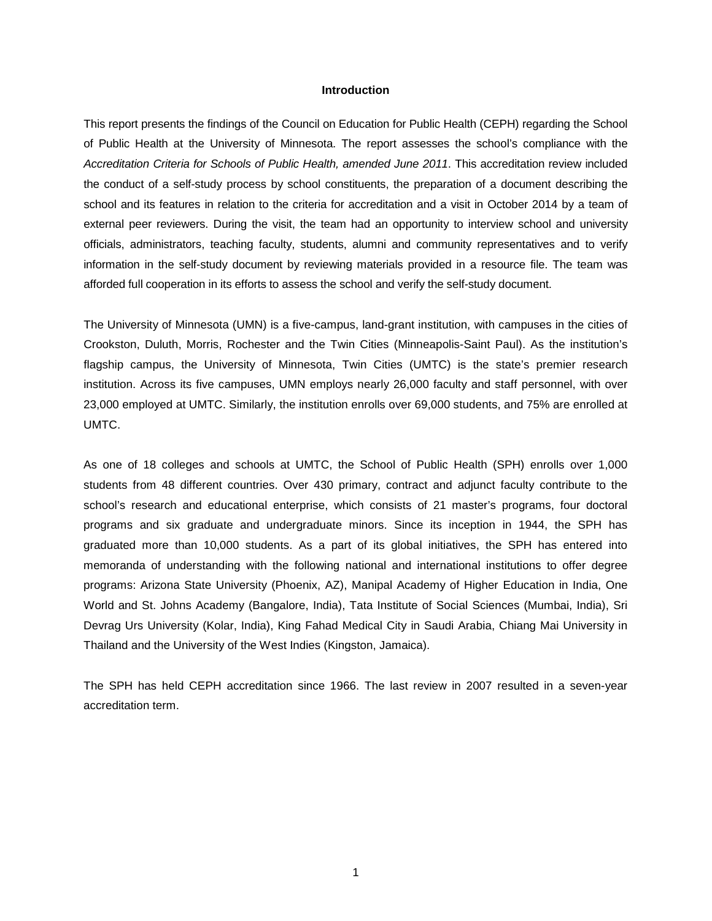#### **Introduction**

<span id="page-3-0"></span>This report presents the findings of the Council on Education for Public Health (CEPH) regarding the School of Public Health at the University of Minnesota. The report assesses the school's compliance with the *Accreditation Criteria for Schools of Public Health, amended June 2011*. This accreditation review included the conduct of a self-study process by school constituents, the preparation of a document describing the school and its features in relation to the criteria for accreditation and a visit in October 2014 by a team of external peer reviewers. During the visit, the team had an opportunity to interview school and university officials, administrators, teaching faculty, students, alumni and community representatives and to verify information in the self-study document by reviewing materials provided in a resource file. The team was afforded full cooperation in its efforts to assess the school and verify the self-study document.

The University of Minnesota (UMN) is a five-campus, land-grant institution, with campuses in the cities of Crookston, Duluth, Morris, Rochester and the Twin Cities (Minneapolis-Saint Paul). As the institution's flagship campus, the University of Minnesota, Twin Cities (UMTC) is the state's premier research institution. Across its five campuses, UMN employs nearly 26,000 faculty and staff personnel, with over 23,000 employed at UMTC. Similarly, the institution enrolls over 69,000 students, and 75% are enrolled at UMTC.

As one of 18 colleges and schools at UMTC, the School of Public Health (SPH) enrolls over 1,000 students from 48 different countries. Over 430 primary, contract and adjunct faculty contribute to the school's research and educational enterprise, which consists of 21 master's programs, four doctoral programs and six graduate and undergraduate minors. Since its inception in 1944, the SPH has graduated more than 10,000 students. As a part of its global initiatives, the SPH has entered into memoranda of understanding with the following national and international institutions to offer degree programs: Arizona State University (Phoenix, AZ), Manipal Academy of Higher Education in India, One World and St. Johns Academy (Bangalore, India), Tata Institute of Social Sciences (Mumbai, India), Sri Devrag Urs University (Kolar, India), King Fahad Medical City in Saudi Arabia, Chiang Mai University in Thailand and the University of the West Indies (Kingston, Jamaica).

The SPH has held CEPH accreditation since 1966. The last review in 2007 resulted in a seven-year accreditation term.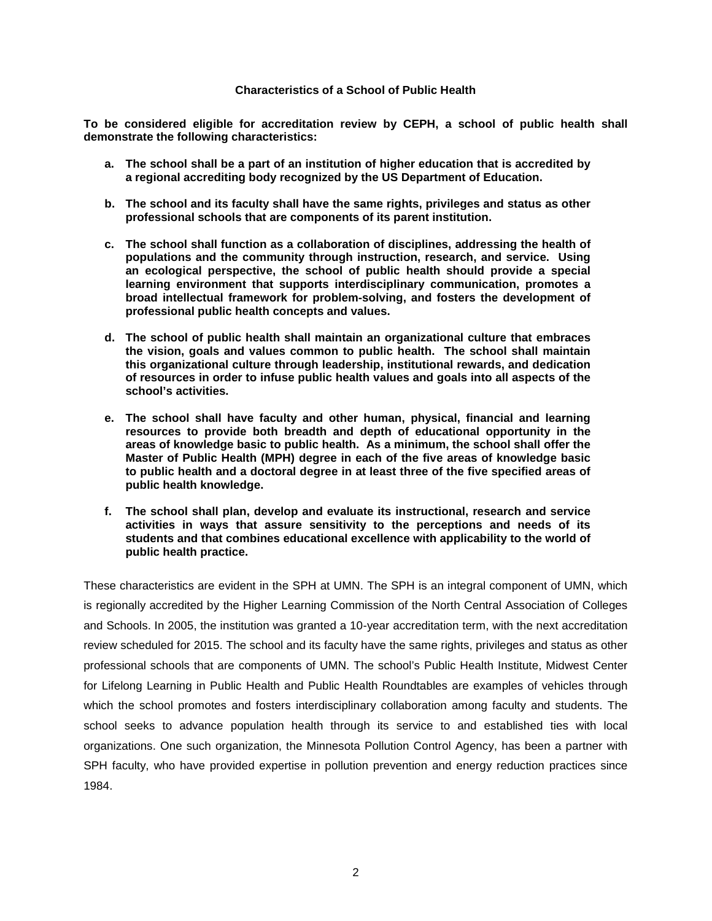#### **Characteristics of a School of Public Health**

<span id="page-4-0"></span>**To be considered eligible for accreditation review by CEPH, a school of public health shall demonstrate the following characteristics:**

- **a. The school shall be a part of an institution of higher education that is accredited by a regional accrediting body recognized by the US Department of Education.**
- **b. The school and its faculty shall have the same rights, privileges and status as other professional schools that are components of its parent institution.**
- **c. The school shall function as a collaboration of disciplines, addressing the health of populations and the community through instruction, research, and service. Using an ecological perspective, the school of public health should provide a special learning environment that supports interdisciplinary communication, promotes a broad intellectual framework for problem-solving, and fosters the development of professional public health concepts and values.**
- **d. The school of public health shall maintain an organizational culture that embraces the vision, goals and values common to public health. The school shall maintain this organizational culture through leadership, institutional rewards, and dedication of resources in order to infuse public health values and goals into all aspects of the school's activities.**
- **e. The school shall have faculty and other human, physical, financial and learning resources to provide both breadth and depth of educational opportunity in the areas of knowledge basic to public health. As a minimum, the school shall offer the Master of Public Health (MPH) degree in each of the five areas of knowledge basic to public health and a doctoral degree in at least three of the five specified areas of public health knowledge.**
- **f. The school shall plan, develop and evaluate its instructional, research and service activities in ways that assure sensitivity to the perceptions and needs of its students and that combines educational excellence with applicability to the world of public health practice.**

These characteristics are evident in the SPH at UMN. The SPH is an integral component of UMN, which is regionally accredited by the Higher Learning Commission of the North Central Association of Colleges and Schools. In 2005, the institution was granted a 10-year accreditation term, with the next accreditation review scheduled for 2015. The school and its faculty have the same rights, privileges and status as other professional schools that are components of UMN. The school's Public Health Institute, Midwest Center for Lifelong Learning in Public Health and Public Health Roundtables are examples of vehicles through which the school promotes and fosters interdisciplinary collaboration among faculty and students. The school seeks to advance population health through its service to and established ties with local organizations. One such organization, the Minnesota Pollution Control Agency, has been a partner with SPH faculty, who have provided expertise in pollution prevention and energy reduction practices since 1984.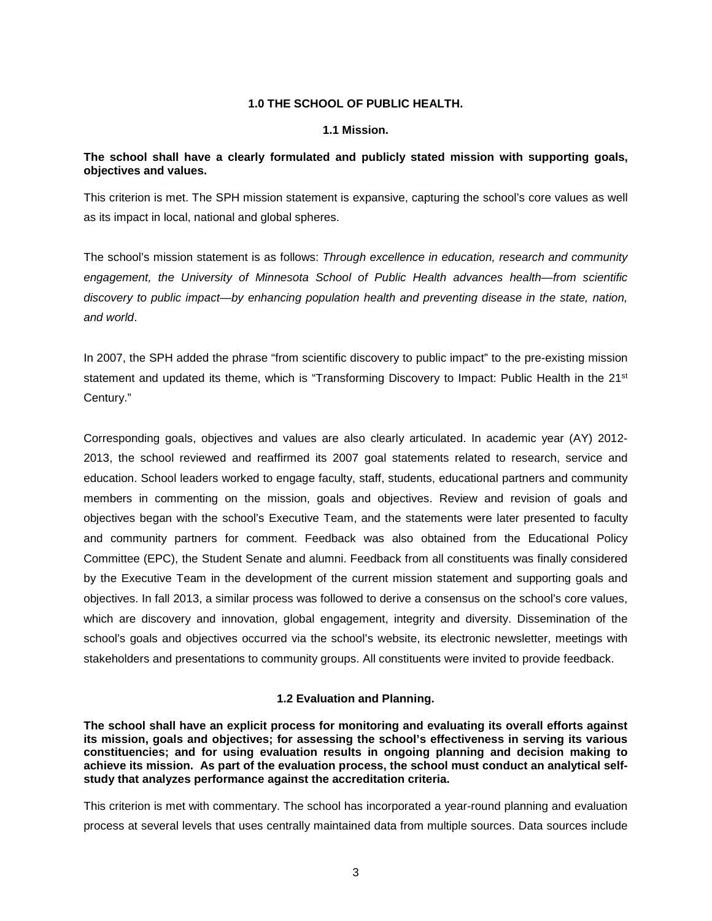# **1.0 THE SCHOOL OF PUBLIC HEALTH.**

#### **1.1 Mission.**

# <span id="page-5-1"></span><span id="page-5-0"></span>**The school shall have a clearly formulated and publicly stated mission with supporting goals, objectives and values.**

This criterion is met. The SPH mission statement is expansive, capturing the school's core values as well as its impact in local, national and global spheres.

The school's mission statement is as follows: *Through excellence in education, research and community engagement, the University of Minnesota School of Public Health advances health—from scientific discovery to public impact—by enhancing population health and preventing disease in the state, nation, and world*.

In 2007, the SPH added the phrase "from scientific discovery to public impact" to the pre-existing mission statement and updated its theme, which is "Transforming Discovery to Impact: Public Health in the 21<sup>st</sup> Century."

Corresponding goals, objectives and values are also clearly articulated. In academic year (AY) 2012- 2013, the school reviewed and reaffirmed its 2007 goal statements related to research, service and education. School leaders worked to engage faculty, staff, students, educational partners and community members in commenting on the mission, goals and objectives. Review and revision of goals and objectives began with the school's Executive Team, and the statements were later presented to faculty and community partners for comment. Feedback was also obtained from the Educational Policy Committee (EPC), the Student Senate and alumni. Feedback from all constituents was finally considered by the Executive Team in the development of the current mission statement and supporting goals and objectives. In fall 2013, a similar process was followed to derive a consensus on the school's core values, which are discovery and innovation, global engagement, integrity and diversity. Dissemination of the school's goals and objectives occurred via the school's website, its electronic newsletter, meetings with stakeholders and presentations to community groups. All constituents were invited to provide feedback.

## **1.2 Evaluation and Planning.**

<span id="page-5-2"></span>**The school shall have an explicit process for monitoring and evaluating its overall efforts against its mission, goals and objectives; for assessing the school's effectiveness in serving its various constituencies; and for using evaluation results in ongoing planning and decision making to achieve its mission. As part of the evaluation process, the school must conduct an analytical selfstudy that analyzes performance against the accreditation criteria.**

This criterion is met with commentary. The school has incorporated a year-round planning and evaluation process at several levels that uses centrally maintained data from multiple sources. Data sources include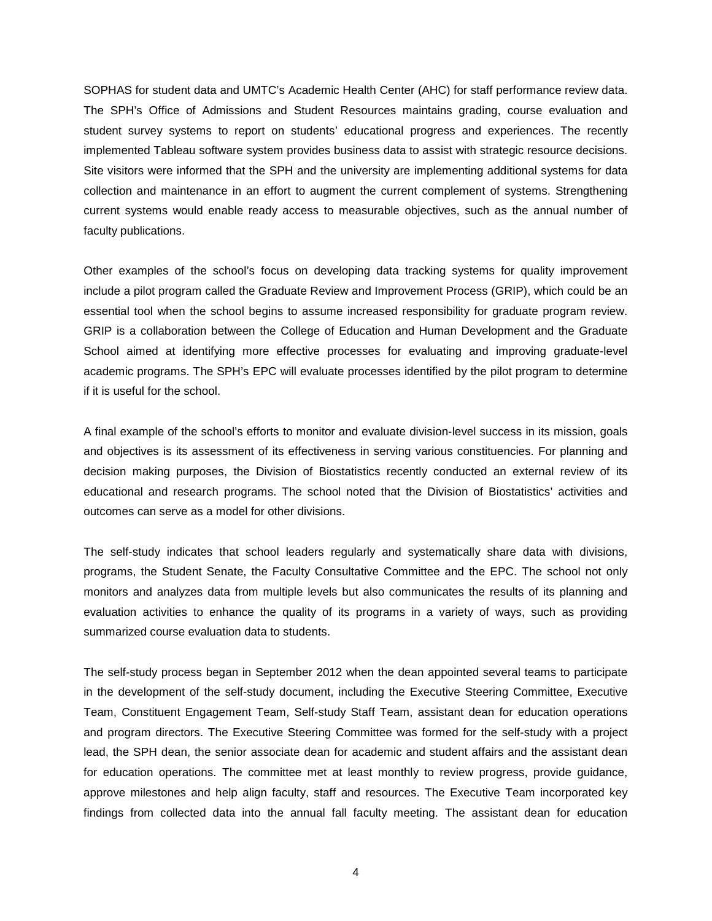SOPHAS for student data and UMTC's Academic Health Center (AHC) for staff performance review data. The SPH's Office of Admissions and Student Resources maintains grading, course evaluation and student survey systems to report on students' educational progress and experiences. The recently implemented Tableau software system provides business data to assist with strategic resource decisions. Site visitors were informed that the SPH and the university are implementing additional systems for data collection and maintenance in an effort to augment the current complement of systems. Strengthening current systems would enable ready access to measurable objectives, such as the annual number of faculty publications.

Other examples of the school's focus on developing data tracking systems for quality improvement include a pilot program called the Graduate Review and Improvement Process (GRIP), which could be an essential tool when the school begins to assume increased responsibility for graduate program review. GRIP is a collaboration between the College of Education and Human Development and the Graduate School aimed at identifying more effective processes for evaluating and improving graduate-level academic programs. The SPH's EPC will evaluate processes identified by the pilot program to determine if it is useful for the school.

A final example of the school's efforts to monitor and evaluate division-level success in its mission, goals and objectives is its assessment of its effectiveness in serving various constituencies. For planning and decision making purposes, the Division of Biostatistics recently conducted an external review of its educational and research programs. The school noted that the Division of Biostatistics' activities and outcomes can serve as a model for other divisions.

The self-study indicates that school leaders regularly and systematically share data with divisions, programs, the Student Senate, the Faculty Consultative Committee and the EPC. The school not only monitors and analyzes data from multiple levels but also communicates the results of its planning and evaluation activities to enhance the quality of its programs in a variety of ways, such as providing summarized course evaluation data to students.

The self-study process began in September 2012 when the dean appointed several teams to participate in the development of the self-study document, including the Executive Steering Committee, Executive Team, Constituent Engagement Team, Self-study Staff Team, assistant dean for education operations and program directors. The Executive Steering Committee was formed for the self-study with a project lead, the SPH dean, the senior associate dean for academic and student affairs and the assistant dean for education operations. The committee met at least monthly to review progress, provide guidance, approve milestones and help align faculty, staff and resources. The Executive Team incorporated key findings from collected data into the annual fall faculty meeting. The assistant dean for education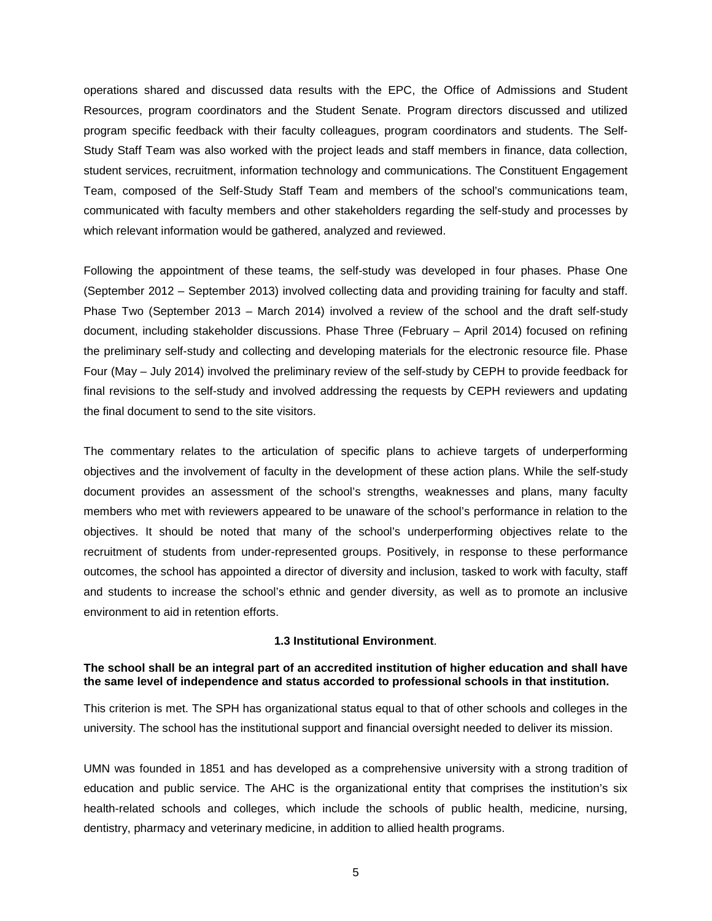operations shared and discussed data results with the EPC, the Office of Admissions and Student Resources, program coordinators and the Student Senate. Program directors discussed and utilized program specific feedback with their faculty colleagues, program coordinators and students. The Self-Study Staff Team was also worked with the project leads and staff members in finance, data collection, student services, recruitment, information technology and communications. The Constituent Engagement Team, composed of the Self-Study Staff Team and members of the school's communications team, communicated with faculty members and other stakeholders regarding the self-study and processes by which relevant information would be gathered, analyzed and reviewed.

Following the appointment of these teams, the self-study was developed in four phases. Phase One (September 2012 – September 2013) involved collecting data and providing training for faculty and staff. Phase Two (September 2013 – March 2014) involved a review of the school and the draft self-study document, including stakeholder discussions. Phase Three (February – April 2014) focused on refining the preliminary self-study and collecting and developing materials for the electronic resource file. Phase Four (May – July 2014) involved the preliminary review of the self-study by CEPH to provide feedback for final revisions to the self-study and involved addressing the requests by CEPH reviewers and updating the final document to send to the site visitors.

The commentary relates to the articulation of specific plans to achieve targets of underperforming objectives and the involvement of faculty in the development of these action plans. While the self-study document provides an assessment of the school's strengths, weaknesses and plans, many faculty members who met with reviewers appeared to be unaware of the school's performance in relation to the objectives. It should be noted that many of the school's underperforming objectives relate to the recruitment of students from under-represented groups. Positively, in response to these performance outcomes, the school has appointed a director of diversity and inclusion, tasked to work with faculty, staff and students to increase the school's ethnic and gender diversity, as well as to promote an inclusive environment to aid in retention efforts.

#### **1.3 Institutional Environment**.

## <span id="page-7-0"></span>**The school shall be an integral part of an accredited institution of higher education and shall have the same level of independence and status accorded to professional schools in that institution.**

This criterion is met. The SPH has organizational status equal to that of other schools and colleges in the university. The school has the institutional support and financial oversight needed to deliver its mission.

UMN was founded in 1851 and has developed as a comprehensive university with a strong tradition of education and public service. The AHC is the organizational entity that comprises the institution's six health-related schools and colleges, which include the schools of public health, medicine, nursing, dentistry, pharmacy and veterinary medicine, in addition to allied health programs.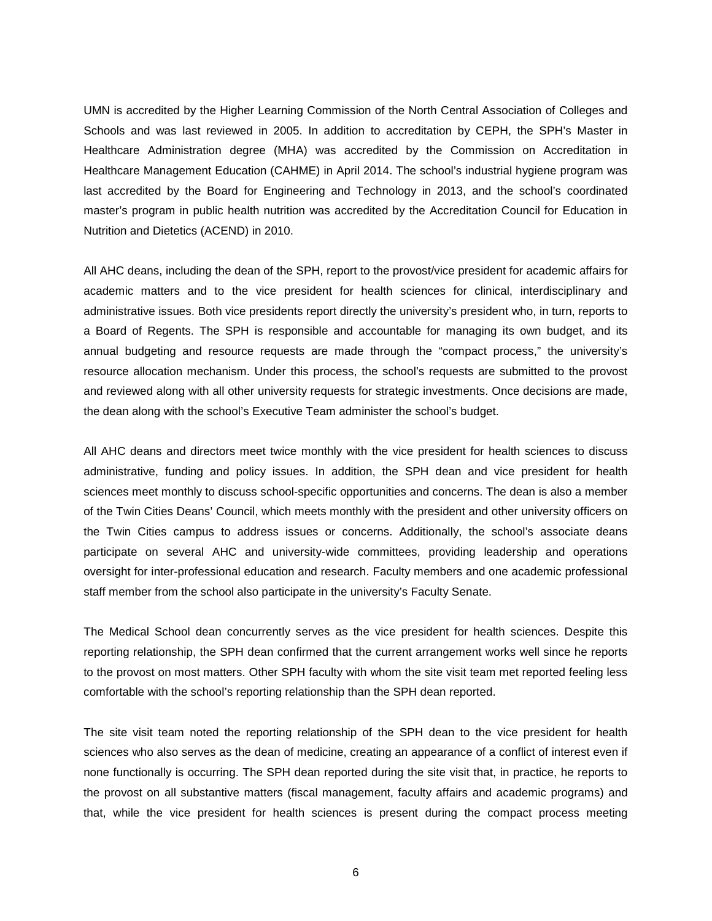UMN is accredited by the Higher Learning Commission of the North Central Association of Colleges and Schools and was last reviewed in 2005. In addition to accreditation by CEPH, the SPH's Master in Healthcare Administration degree (MHA) was accredited by the Commission on Accreditation in Healthcare Management Education (CAHME) in April 2014. The school's industrial hygiene program was last accredited by the Board for Engineering and Technology in 2013, and the school's coordinated master's program in public health nutrition was accredited by the Accreditation Council for Education in Nutrition and Dietetics (ACEND) in 2010.

All AHC deans, including the dean of the SPH, report to the provost/vice president for academic affairs for academic matters and to the vice president for health sciences for clinical, interdisciplinary and administrative issues. Both vice presidents report directly the university's president who, in turn, reports to a Board of Regents. The SPH is responsible and accountable for managing its own budget, and its annual budgeting and resource requests are made through the "compact process," the university's resource allocation mechanism. Under this process, the school's requests are submitted to the provost and reviewed along with all other university requests for strategic investments. Once decisions are made, the dean along with the school's Executive Team administer the school's budget.

All AHC deans and directors meet twice monthly with the vice president for health sciences to discuss administrative, funding and policy issues. In addition, the SPH dean and vice president for health sciences meet monthly to discuss school-specific opportunities and concerns. The dean is also a member of the Twin Cities Deans' Council, which meets monthly with the president and other university officers on the Twin Cities campus to address issues or concerns. Additionally, the school's associate deans participate on several AHC and university-wide committees, providing leadership and operations oversight for inter-professional education and research. Faculty members and one academic professional staff member from the school also participate in the university's Faculty Senate.

The Medical School dean concurrently serves as the vice president for health sciences. Despite this reporting relationship, the SPH dean confirmed that the current arrangement works well since he reports to the provost on most matters. Other SPH faculty with whom the site visit team met reported feeling less comfortable with the school's reporting relationship than the SPH dean reported.

The site visit team noted the reporting relationship of the SPH dean to the vice president for health sciences who also serves as the dean of medicine, creating an appearance of a conflict of interest even if none functionally is occurring. The SPH dean reported during the site visit that, in practice, he reports to the provost on all substantive matters (fiscal management, faculty affairs and academic programs) and that, while the vice president for health sciences is present during the compact process meeting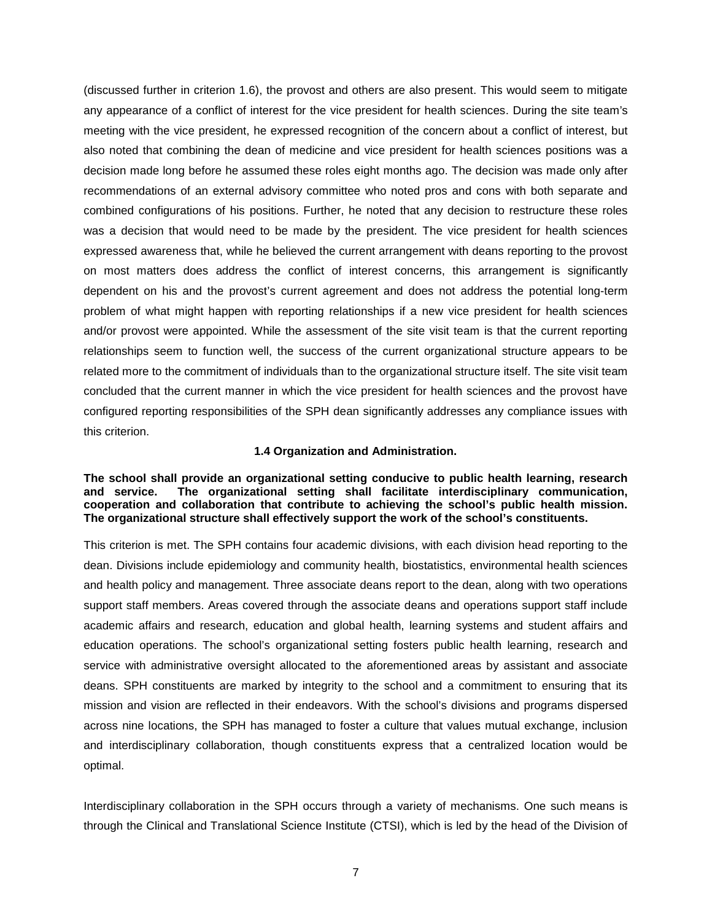(discussed further in criterion 1.6), the provost and others are also present. This would seem to mitigate any appearance of a conflict of interest for the vice president for health sciences. During the site team's meeting with the vice president, he expressed recognition of the concern about a conflict of interest, but also noted that combining the dean of medicine and vice president for health sciences positions was a decision made long before he assumed these roles eight months ago. The decision was made only after recommendations of an external advisory committee who noted pros and cons with both separate and combined configurations of his positions. Further, he noted that any decision to restructure these roles was a decision that would need to be made by the president. The vice president for health sciences expressed awareness that, while he believed the current arrangement with deans reporting to the provost on most matters does address the conflict of interest concerns, this arrangement is significantly dependent on his and the provost's current agreement and does not address the potential long-term problem of what might happen with reporting relationships if a new vice president for health sciences and/or provost were appointed. While the assessment of the site visit team is that the current reporting relationships seem to function well, the success of the current organizational structure appears to be related more to the commitment of individuals than to the organizational structure itself. The site visit team concluded that the current manner in which the vice president for health sciences and the provost have configured reporting responsibilities of the SPH dean significantly addresses any compliance issues with this criterion.

#### **1.4 Organization and Administration.**

<span id="page-9-0"></span>**The school shall provide an organizational setting conducive to public health learning, research**  The organizational setting shall facilitate interdisciplinary communication, **cooperation and collaboration that contribute to achieving the school's public health mission. The organizational structure shall effectively support the work of the school's constituents.**

This criterion is met. The SPH contains four academic divisions, with each division head reporting to the dean. Divisions include epidemiology and community health, biostatistics, environmental health sciences and health policy and management. Three associate deans report to the dean, along with two operations support staff members. Areas covered through the associate deans and operations support staff include academic affairs and research, education and global health, learning systems and student affairs and education operations. The school's organizational setting fosters public health learning, research and service with administrative oversight allocated to the aforementioned areas by assistant and associate deans. SPH constituents are marked by integrity to the school and a commitment to ensuring that its mission and vision are reflected in their endeavors. With the school's divisions and programs dispersed across nine locations, the SPH has managed to foster a culture that values mutual exchange, inclusion and interdisciplinary collaboration, though constituents express that a centralized location would be optimal.

Interdisciplinary collaboration in the SPH occurs through a variety of mechanisms. One such means is through the Clinical and Translational Science Institute (CTSI), which is led by the head of the Division of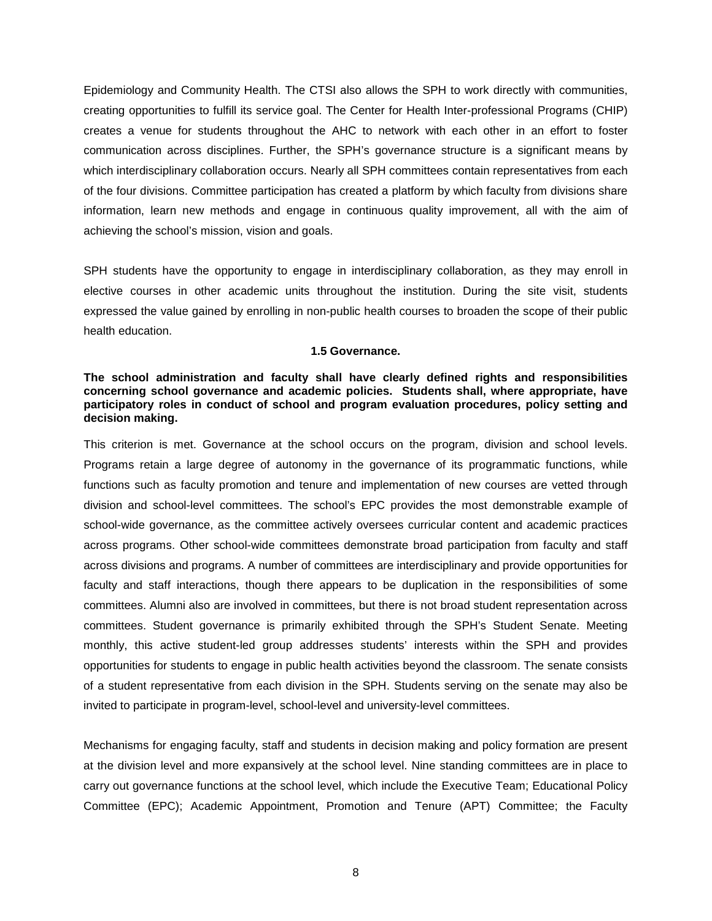Epidemiology and Community Health. The CTSI also allows the SPH to work directly with communities, creating opportunities to fulfill its service goal. The Center for Health Inter-professional Programs (CHIP) creates a venue for students throughout the AHC to network with each other in an effort to foster communication across disciplines. Further, the SPH's governance structure is a significant means by which interdisciplinary collaboration occurs. Nearly all SPH committees contain representatives from each of the four divisions. Committee participation has created a platform by which faculty from divisions share information, learn new methods and engage in continuous quality improvement, all with the aim of achieving the school's mission, vision and goals.

SPH students have the opportunity to engage in interdisciplinary collaboration, as they may enroll in elective courses in other academic units throughout the institution. During the site visit, students expressed the value gained by enrolling in non-public health courses to broaden the scope of their public health education.

#### **1.5 Governance.**

## <span id="page-10-0"></span>**The school administration and faculty shall have clearly defined rights and responsibilities concerning school governance and academic policies. Students shall, where appropriate, have participatory roles in conduct of school and program evaluation procedures, policy setting and decision making.**

This criterion is met. Governance at the school occurs on the program, division and school levels. Programs retain a large degree of autonomy in the governance of its programmatic functions, while functions such as faculty promotion and tenure and implementation of new courses are vetted through division and school-level committees. The school's EPC provides the most demonstrable example of school-wide governance, as the committee actively oversees curricular content and academic practices across programs. Other school-wide committees demonstrate broad participation from faculty and staff across divisions and programs. A number of committees are interdisciplinary and provide opportunities for faculty and staff interactions, though there appears to be duplication in the responsibilities of some committees. Alumni also are involved in committees, but there is not broad student representation across committees. Student governance is primarily exhibited through the SPH's Student Senate. Meeting monthly, this active student-led group addresses students' interests within the SPH and provides opportunities for students to engage in public health activities beyond the classroom. The senate consists of a student representative from each division in the SPH. Students serving on the senate may also be invited to participate in program-level, school-level and university-level committees.

Mechanisms for engaging faculty, staff and students in decision making and policy formation are present at the division level and more expansively at the school level. Nine standing committees are in place to carry out governance functions at the school level, which include the Executive Team; Educational Policy Committee (EPC); Academic Appointment, Promotion and Tenure (APT) Committee; the Faculty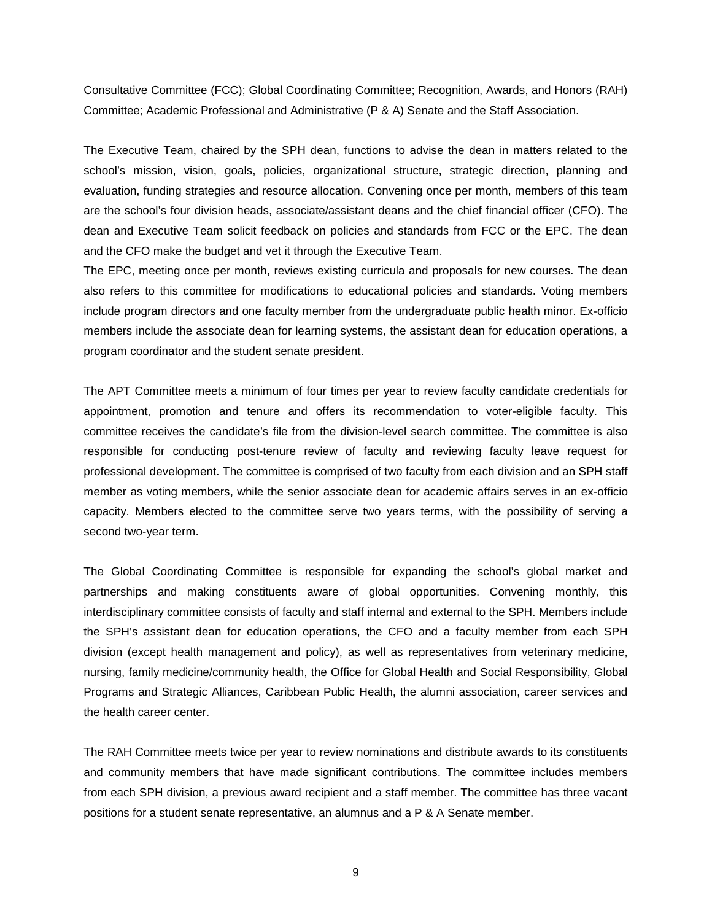Consultative Committee (FCC); Global Coordinating Committee; Recognition, Awards, and Honors (RAH) Committee; Academic Professional and Administrative (P & A) Senate and the Staff Association.

The Executive Team, chaired by the SPH dean, functions to advise the dean in matters related to the school's mission, vision, goals, policies, organizational structure, strategic direction, planning and evaluation, funding strategies and resource allocation. Convening once per month, members of this team are the school's four division heads, associate/assistant deans and the chief financial officer (CFO). The dean and Executive Team solicit feedback on policies and standards from FCC or the EPC. The dean and the CFO make the budget and vet it through the Executive Team.

The EPC, meeting once per month, reviews existing curricula and proposals for new courses. The dean also refers to this committee for modifications to educational policies and standards. Voting members include program directors and one faculty member from the undergraduate public health minor. Ex-officio members include the associate dean for learning systems, the assistant dean for education operations, a program coordinator and the student senate president.

The APT Committee meets a minimum of four times per year to review faculty candidate credentials for appointment, promotion and tenure and offers its recommendation to voter-eligible faculty. This committee receives the candidate's file from the division-level search committee. The committee is also responsible for conducting post-tenure review of faculty and reviewing faculty leave request for professional development. The committee is comprised of two faculty from each division and an SPH staff member as voting members, while the senior associate dean for academic affairs serves in an ex-officio capacity. Members elected to the committee serve two years terms, with the possibility of serving a second two-year term.

The Global Coordinating Committee is responsible for expanding the school's global market and partnerships and making constituents aware of global opportunities. Convening monthly, this interdisciplinary committee consists of faculty and staff internal and external to the SPH. Members include the SPH's assistant dean for education operations, the CFO and a faculty member from each SPH division (except health management and policy), as well as representatives from veterinary medicine, nursing, family medicine/community health, the Office for Global Health and Social Responsibility, Global Programs and Strategic Alliances, Caribbean Public Health, the alumni association, career services and the health career center.

The RAH Committee meets twice per year to review nominations and distribute awards to its constituents and community members that have made significant contributions. The committee includes members from each SPH division, a previous award recipient and a staff member. The committee has three vacant positions for a student senate representative, an alumnus and a P & A Senate member.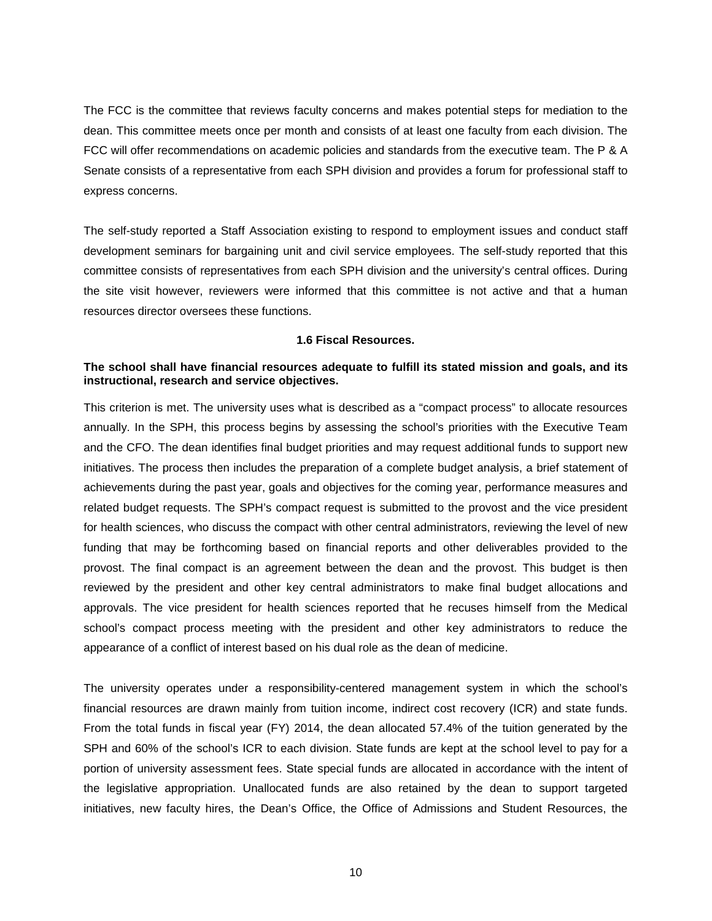The FCC is the committee that reviews faculty concerns and makes potential steps for mediation to the dean. This committee meets once per month and consists of at least one faculty from each division. The FCC will offer recommendations on academic policies and standards from the executive team. The P & A Senate consists of a representative from each SPH division and provides a forum for professional staff to express concerns.

The self-study reported a Staff Association existing to respond to employment issues and conduct staff development seminars for bargaining unit and civil service employees. The self-study reported that this committee consists of representatives from each SPH division and the university's central offices. During the site visit however, reviewers were informed that this committee is not active and that a human resources director oversees these functions.

#### **1.6 Fiscal Resources.**

# <span id="page-12-0"></span>**The school shall have financial resources adequate to fulfill its stated mission and goals, and its instructional, research and service objectives.**

This criterion is met. The university uses what is described as a "compact process" to allocate resources annually. In the SPH, this process begins by assessing the school's priorities with the Executive Team and the CFO. The dean identifies final budget priorities and may request additional funds to support new initiatives. The process then includes the preparation of a complete budget analysis, a brief statement of achievements during the past year, goals and objectives for the coming year, performance measures and related budget requests. The SPH's compact request is submitted to the provost and the vice president for health sciences, who discuss the compact with other central administrators, reviewing the level of new funding that may be forthcoming based on financial reports and other deliverables provided to the provost. The final compact is an agreement between the dean and the provost. This budget is then reviewed by the president and other key central administrators to make final budget allocations and approvals. The vice president for health sciences reported that he recuses himself from the Medical school's compact process meeting with the president and other key administrators to reduce the appearance of a conflict of interest based on his dual role as the dean of medicine.

The university operates under a responsibility-centered management system in which the school's financial resources are drawn mainly from tuition income, indirect cost recovery (ICR) and state funds. From the total funds in fiscal year (FY) 2014, the dean allocated 57.4% of the tuition generated by the SPH and 60% of the school's ICR to each division. State funds are kept at the school level to pay for a portion of university assessment fees. State special funds are allocated in accordance with the intent of the legislative appropriation. Unallocated funds are also retained by the dean to support targeted initiatives, new faculty hires, the Dean's Office, the Office of Admissions and Student Resources, the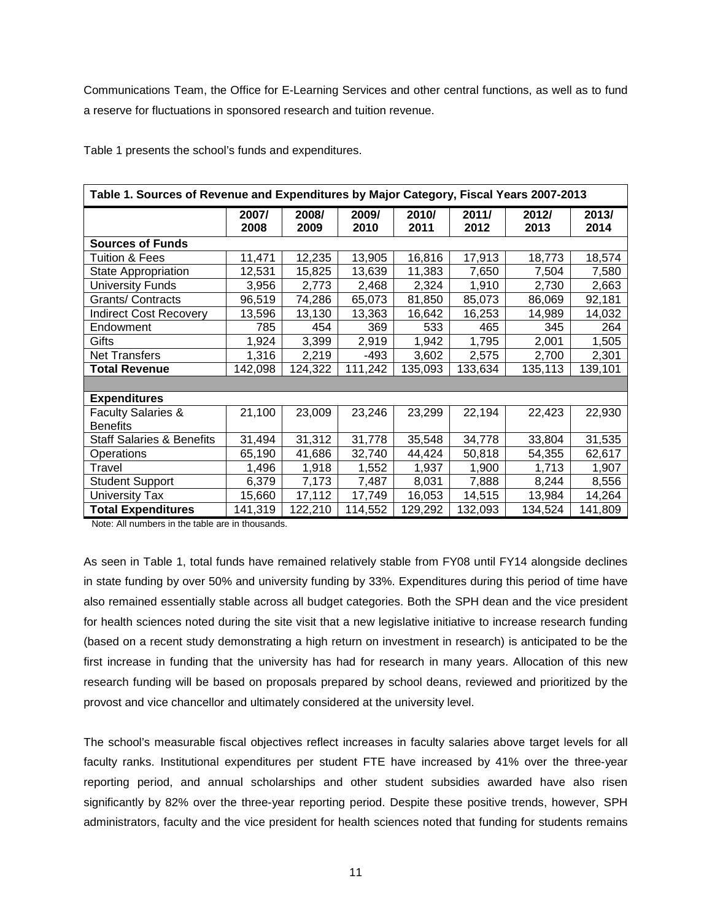Communications Team, the Office for E-Learning Services and other central functions, as well as to fund a reserve for fluctuations in sponsored research and tuition revenue.

Table 1 presents the school's funds and expenditures.

| Table 1. Sources of Revenue and Expenditures by Major Category, Fiscal Years 2007-2013 |               |               |               |               |               |               |               |
|----------------------------------------------------------------------------------------|---------------|---------------|---------------|---------------|---------------|---------------|---------------|
|                                                                                        | 2007/<br>2008 | 2008/<br>2009 | 2009/<br>2010 | 2010/<br>2011 | 2011/<br>2012 | 2012/<br>2013 | 2013/<br>2014 |
| <b>Sources of Funds</b>                                                                |               |               |               |               |               |               |               |
| <b>Tuition &amp; Fees</b>                                                              | 11,471        | 12,235        | 13,905        | 16,816        | 17,913        | 18,773        | 18,574        |
| State Appropriation                                                                    | 12,531        | 15,825        | 13,639        | 11,383        | 7,650         | 7,504         | 7,580         |
| <b>University Funds</b>                                                                | 3,956         | 2,773         | 2,468         | 2,324         | 1,910         | 2,730         | 2,663         |
| Grants/ Contracts                                                                      | 96,519        | 74,286        | 65,073        | 81,850        | 85,073        | 86,069        | 92,181        |
| <b>Indirect Cost Recovery</b>                                                          | 13,596        | 13,130        | 13,363        | 16,642        | 16,253        | 14,989        | 14,032        |
| Endowment                                                                              | 785           | 454           | 369           | 533           | 465           | 345           | 264           |
| Gifts                                                                                  | 1,924         | 3,399         | 2,919         | 1,942         | 1,795         | 2,001         | 1,505         |
| <b>Net Transfers</b>                                                                   | 1,316         | 2,219         | -493          | 3,602         | 2,575         | 2,700         | 2,301         |
| <b>Total Revenue</b>                                                                   | 142,098       | 124,322       | 111,242       | 135,093       | 133,634       | 135,113       | 139,101       |
|                                                                                        |               |               |               |               |               |               |               |
| <b>Expenditures</b>                                                                    |               |               |               |               |               |               |               |
| <b>Faculty Salaries &amp;</b><br><b>Benefits</b>                                       | 21,100        | 23,009        | 23,246        | 23,299        | 22,194        | 22,423        | 22,930        |
| <b>Staff Salaries &amp; Benefits</b>                                                   | 31,494        | 31,312        | 31,778        | 35,548        | 34,778        | 33,804        | 31,535        |
| Operations                                                                             | 65,190        | 41,686        | 32,740        | 44,424        | 50,818        | 54,355        | 62,617        |
| Travel                                                                                 | 1,496         | 1,918         | 1,552         | 1,937         | 1,900         | 1,713         | 1,907         |
| <b>Student Support</b>                                                                 | 6,379         | 7,173         | 7,487         | 8,031         | 7,888         | 8,244         | 8,556         |
| University Tax                                                                         | 15,660        | 17,112        | 17,749        | 16,053        | 14,515        | 13,984        | 14,264        |
| <b>Total Expenditures</b>                                                              | 141,319       | 122,210       | 114,552       | 129,292       | 132,093       | 134,524       | 141,809       |

Note: All numbers in the table are in thousands.

As seen in Table 1, total funds have remained relatively stable from FY08 until FY14 alongside declines in state funding by over 50% and university funding by 33%. Expenditures during this period of time have also remained essentially stable across all budget categories. Both the SPH dean and the vice president for health sciences noted during the site visit that a new legislative initiative to increase research funding (based on a recent study demonstrating a high return on investment in research) is anticipated to be the first increase in funding that the university has had for research in many years. Allocation of this new research funding will be based on proposals prepared by school deans, reviewed and prioritized by the provost and vice chancellor and ultimately considered at the university level.

The school's measurable fiscal objectives reflect increases in faculty salaries above target levels for all faculty ranks. Institutional expenditures per student FTE have increased by 41% over the three-year reporting period, and annual scholarships and other student subsidies awarded have also risen significantly by 82% over the three-year reporting period. Despite these positive trends, however, SPH administrators, faculty and the vice president for health sciences noted that funding for students remains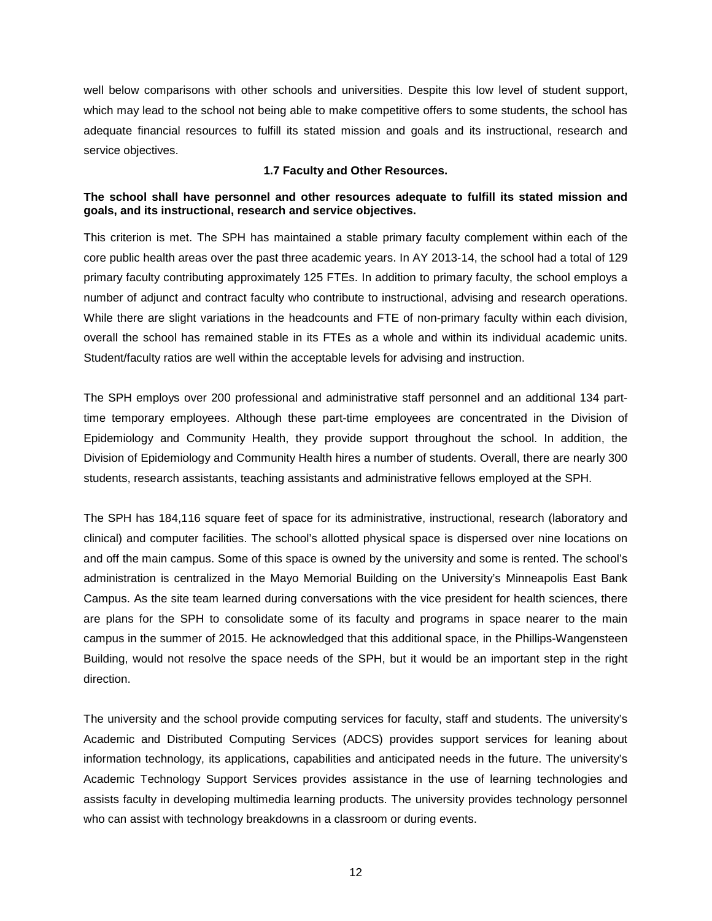well below comparisons with other schools and universities. Despite this low level of student support, which may lead to the school not being able to make competitive offers to some students, the school has adequate financial resources to fulfill its stated mission and goals and its instructional, research and service objectives.

#### **1.7 Faculty and Other Resources.**

# <span id="page-14-0"></span>**The school shall have personnel and other resources adequate to fulfill its stated mission and goals, and its instructional, research and service objectives.**

This criterion is met. The SPH has maintained a stable primary faculty complement within each of the core public health areas over the past three academic years. In AY 2013-14, the school had a total of 129 primary faculty contributing approximately 125 FTEs. In addition to primary faculty, the school employs a number of adjunct and contract faculty who contribute to instructional, advising and research operations. While there are slight variations in the headcounts and FTE of non-primary faculty within each division, overall the school has remained stable in its FTEs as a whole and within its individual academic units. Student/faculty ratios are well within the acceptable levels for advising and instruction.

The SPH employs over 200 professional and administrative staff personnel and an additional 134 parttime temporary employees. Although these part-time employees are concentrated in the Division of Epidemiology and Community Health, they provide support throughout the school. In addition, the Division of Epidemiology and Community Health hires a number of students. Overall, there are nearly 300 students, research assistants, teaching assistants and administrative fellows employed at the SPH.

The SPH has 184,116 square feet of space for its administrative, instructional, research (laboratory and clinical) and computer facilities. The school's allotted physical space is dispersed over nine locations on and off the main campus. Some of this space is owned by the university and some is rented. The school's administration is centralized in the Mayo Memorial Building on the University's Minneapolis East Bank Campus. As the site team learned during conversations with the vice president for health sciences, there are plans for the SPH to consolidate some of its faculty and programs in space nearer to the main campus in the summer of 2015. He acknowledged that this additional space, in the Phillips-Wangensteen Building, would not resolve the space needs of the SPH, but it would be an important step in the right direction.

The university and the school provide computing services for faculty, staff and students. The university's Academic and Distributed Computing Services (ADCS) provides support services for leaning about information technology, its applications, capabilities and anticipated needs in the future. The university's Academic Technology Support Services provides assistance in the use of learning technologies and assists faculty in developing multimedia learning products. The university provides technology personnel who can assist with technology breakdowns in a classroom or during events.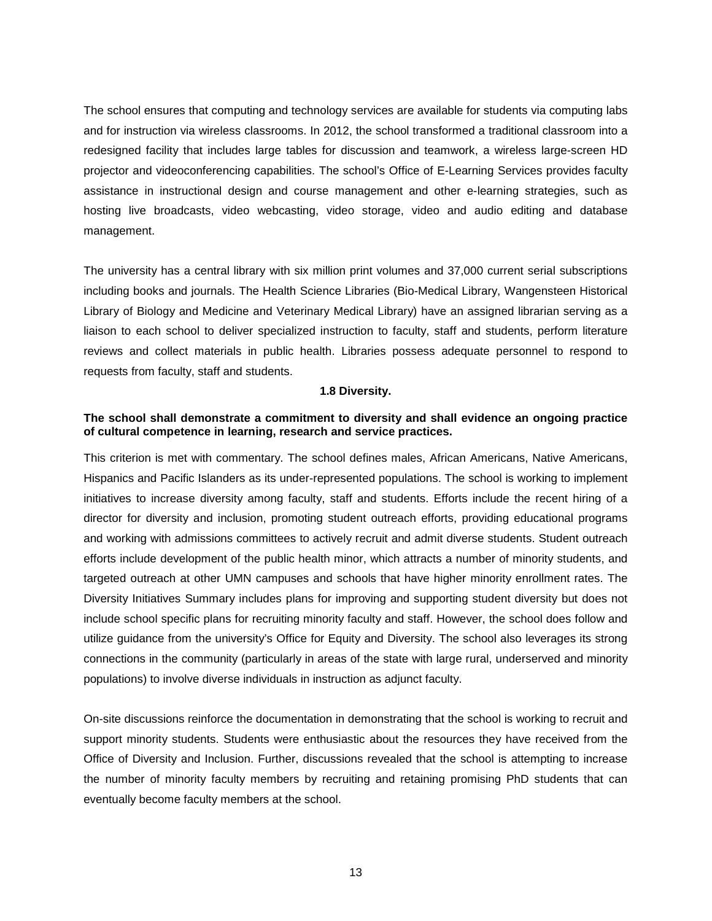The school ensures that computing and technology services are available for students via computing labs and for instruction via wireless classrooms. In 2012, the school transformed a traditional classroom into a redesigned facility that includes large tables for discussion and teamwork, a wireless large-screen HD projector and videoconferencing capabilities. The school's Office of E-Learning Services provides faculty assistance in instructional design and course management and other e-learning strategies, such as hosting live broadcasts, video webcasting, video storage, video and audio editing and database management.

The university has a central library with six million print volumes and 37,000 current serial subscriptions including books and journals. The Health Science Libraries (Bio-Medical Library, Wangensteen Historical Library of Biology and Medicine and Veterinary Medical Library) have an assigned librarian serving as a liaison to each school to deliver specialized instruction to faculty, staff and students, perform literature reviews and collect materials in public health. Libraries possess adequate personnel to respond to requests from faculty, staff and students.

#### **1.8 Diversity.**

#### <span id="page-15-0"></span>**The school shall demonstrate a commitment to diversity and shall evidence an ongoing practice of cultural competence in learning, research and service practices.**

This criterion is met with commentary. The school defines males, African Americans, Native Americans, Hispanics and Pacific Islanders as its under-represented populations. The school is working to implement initiatives to increase diversity among faculty, staff and students. Efforts include the recent hiring of a director for diversity and inclusion, promoting student outreach efforts, providing educational programs and working with admissions committees to actively recruit and admit diverse students. Student outreach efforts include development of the public health minor, which attracts a number of minority students, and targeted outreach at other UMN campuses and schools that have higher minority enrollment rates. The Diversity Initiatives Summary includes plans for improving and supporting student diversity but does not include school specific plans for recruiting minority faculty and staff. However, the school does follow and utilize guidance from the university's Office for Equity and Diversity. The school also leverages its strong connections in the community (particularly in areas of the state with large rural, underserved and minority populations) to involve diverse individuals in instruction as adjunct faculty.

On-site discussions reinforce the documentation in demonstrating that the school is working to recruit and support minority students. Students were enthusiastic about the resources they have received from the Office of Diversity and Inclusion. Further, discussions revealed that the school is attempting to increase the number of minority faculty members by recruiting and retaining promising PhD students that can eventually become faculty members at the school.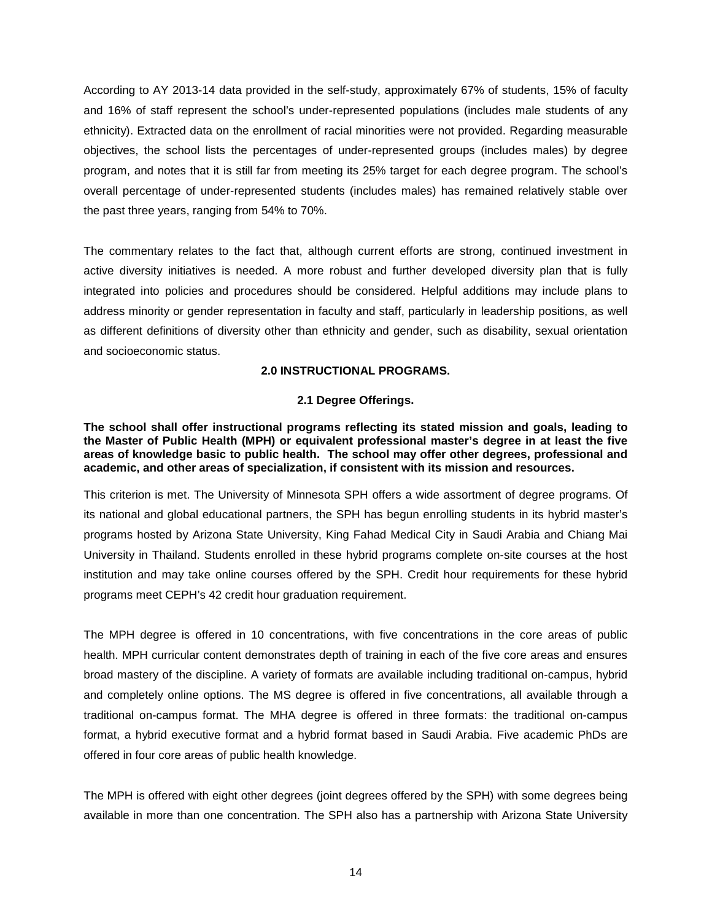According to AY 2013-14 data provided in the self-study, approximately 67% of students, 15% of faculty and 16% of staff represent the school's under-represented populations (includes male students of any ethnicity). Extracted data on the enrollment of racial minorities were not provided. Regarding measurable objectives, the school lists the percentages of under-represented groups (includes males) by degree program, and notes that it is still far from meeting its 25% target for each degree program. The school's overall percentage of under-represented students (includes males) has remained relatively stable over the past three years, ranging from 54% to 70%.

The commentary relates to the fact that, although current efforts are strong, continued investment in active diversity initiatives is needed. A more robust and further developed diversity plan that is fully integrated into policies and procedures should be considered. Helpful additions may include plans to address minority or gender representation in faculty and staff, particularly in leadership positions, as well as different definitions of diversity other than ethnicity and gender, such as disability, sexual orientation and socioeconomic status.

# **2.0 INSTRUCTIONAL PROGRAMS.**

# **2.1 Degree Offerings.**

<span id="page-16-1"></span><span id="page-16-0"></span>**The school shall offer instructional programs reflecting its stated mission and goals, leading to the Master of Public Health (MPH) or equivalent professional master's degree in at least the five areas of knowledge basic to public health. The school may offer other degrees, professional and academic, and other areas of specialization, if consistent with its mission and resources.**

This criterion is met. The University of Minnesota SPH offers a wide assortment of degree programs. Of its national and global educational partners, the SPH has begun enrolling students in its hybrid master's programs hosted by Arizona State University, King Fahad Medical City in Saudi Arabia and Chiang Mai University in Thailand. Students enrolled in these hybrid programs complete on-site courses at the host institution and may take online courses offered by the SPH. Credit hour requirements for these hybrid programs meet CEPH's 42 credit hour graduation requirement.

The MPH degree is offered in 10 concentrations, with five concentrations in the core areas of public health. MPH curricular content demonstrates depth of training in each of the five core areas and ensures broad mastery of the discipline. A variety of formats are available including traditional on-campus, hybrid and completely online options. The MS degree is offered in five concentrations, all available through a traditional on-campus format. The MHA degree is offered in three formats: the traditional on-campus format, a hybrid executive format and a hybrid format based in Saudi Arabia. Five academic PhDs are offered in four core areas of public health knowledge.

The MPH is offered with eight other degrees (joint degrees offered by the SPH) with some degrees being available in more than one concentration. The SPH also has a partnership with Arizona State University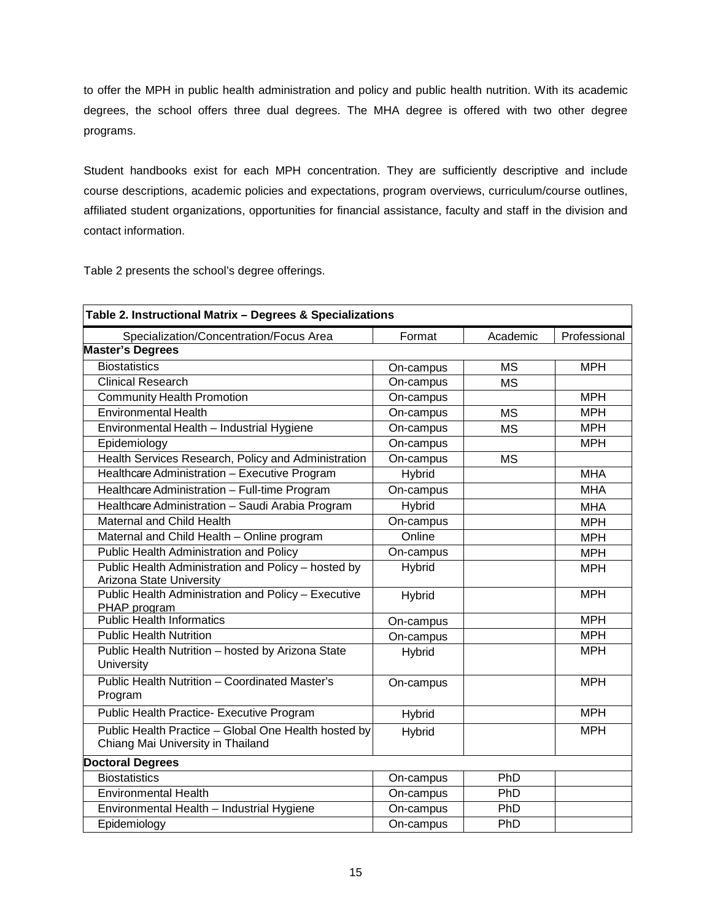to offer the MPH in public health administration and policy and public health nutrition. With its academic degrees, the school offers three dual degrees. The MHA degree is offered with two other degree programs.

Student handbooks exist for each MPH concentration. They are sufficiently descriptive and include course descriptions, academic policies and expectations, program overviews, curriculum/course outlines, affiliated student organizations, opportunities for financial assistance, faculty and staff in the division and contact information.

Table 2 presents the school's degree offerings.

| Table 2. Instructional Matrix - Degrees & Specializations                                 |           |           |              |
|-------------------------------------------------------------------------------------------|-----------|-----------|--------------|
| Specialization/Concentration/Focus Area                                                   | Format    | Academic  | Professional |
| <b>Master's Degrees</b>                                                                   |           |           |              |
| <b>Biostatistics</b>                                                                      | On-campus | <b>MS</b> | <b>MPH</b>   |
| <b>Clinical Research</b>                                                                  | On-campus | <b>MS</b> |              |
| <b>Community Health Promotion</b>                                                         | On-campus |           | <b>MPH</b>   |
| <b>Environmental Health</b>                                                               | On-campus | <b>MS</b> | <b>MPH</b>   |
| Environmental Health - Industrial Hygiene                                                 | On-campus | <b>MS</b> | <b>MPH</b>   |
| Epidemiology                                                                              | On-campus |           | <b>MPH</b>   |
| Health Services Research, Policy and Administration                                       | On-campus | <b>MS</b> |              |
| Healthcare Administration - Executive Program                                             | Hybrid    |           | <b>MHA</b>   |
| Healthcare Administration - Full-time Program                                             | On-campus |           | <b>MHA</b>   |
| Healthcare Administration - Saudi Arabia Program                                          | Hybrid    |           | <b>MHA</b>   |
| Maternal and Child Health                                                                 | On-campus |           | <b>MPH</b>   |
| Maternal and Child Health - Online program                                                | Online    |           | <b>MPH</b>   |
| Public Health Administration and Policy                                                   | On-campus |           | <b>MPH</b>   |
| Public Health Administration and Policy - hosted by                                       | Hybrid    |           | <b>MPH</b>   |
| Arizona State University                                                                  |           |           |              |
| Public Health Administration and Policy - Executive<br>PHAP program                       | Hybrid    |           | <b>MPH</b>   |
| <b>Public Health Informatics</b>                                                          | On-campus |           | <b>MPH</b>   |
| <b>Public Health Nutrition</b>                                                            | On-campus |           | <b>MPH</b>   |
| Public Health Nutrition - hosted by Arizona State<br>University                           | Hybrid    |           | <b>MPH</b>   |
| Public Health Nutrition - Coordinated Master's<br>Program                                 | On-campus |           | <b>MPH</b>   |
| Public Health Practice- Executive Program                                                 | Hybrid    |           | <b>MPH</b>   |
| Public Health Practice - Global One Health hosted by<br>Chiang Mai University in Thailand | Hybrid    |           | <b>MPH</b>   |
| <b>Doctoral Degrees</b>                                                                   |           |           |              |
| <b>Biostatistics</b>                                                                      | On-campus | PhD       |              |
| <b>Environmental Health</b>                                                               | On-campus | PhD       |              |
| Environmental Health - Industrial Hygiene                                                 | On-campus | PhD       |              |
| Epidemiology                                                                              | On-campus | PhD       |              |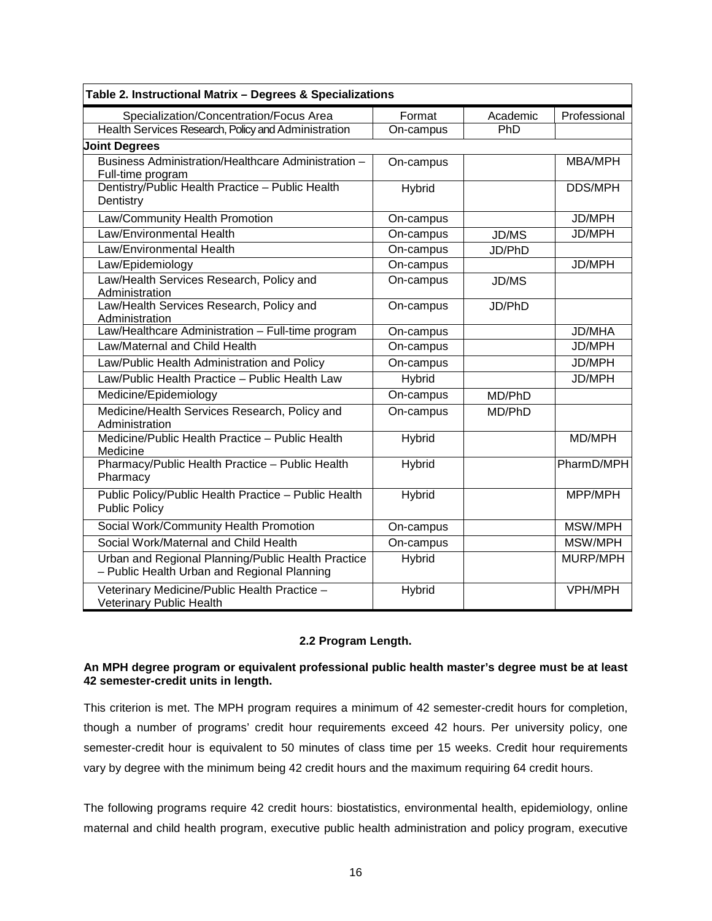| Table 2. Instructional Matrix - Degrees & Specializations                                         |               |              |                |
|---------------------------------------------------------------------------------------------------|---------------|--------------|----------------|
| Specialization/Concentration/Focus Area                                                           | Format        | Academic     | Professional   |
| Health Services Research, Policy and Administration                                               | On-campus     | PhD          |                |
| <b>Joint Degrees</b>                                                                              |               |              |                |
| Business Administration/Healthcare Administration -<br>Full-time program                          | On-campus     |              | MBA/MPH        |
| Dentistry/Public Health Practice - Public Health<br>Dentistry                                     | Hybrid        |              | <b>DDS/MPH</b> |
| Law/Community Health Promotion                                                                    | On-campus     |              | JD/MPH         |
| Law/Environmental Health                                                                          | On-campus     | <b>JD/MS</b> | JD/MPH         |
| Law/Environmental Health                                                                          | On-campus     | JD/PhD       |                |
| Law/Epidemiology                                                                                  | On-campus     |              | <b>JD/MPH</b>  |
| Law/Health Services Research, Policy and<br>Administration                                        | On-campus     | <b>JD/MS</b> |                |
| Law/Health Services Research, Policy and<br>Administration                                        | On-campus     | JD/PhD       |                |
| Law/Healthcare Administration - Full-time program                                                 | On-campus     |              | <b>JD/MHA</b>  |
| Law/Maternal and Child Health                                                                     | On-campus     |              | <b>JD/MPH</b>  |
| Law/Public Health Administration and Policy                                                       | On-campus     |              | JD/MPH         |
| Law/Public Health Practice - Public Health Law                                                    | Hybrid        |              | JD/MPH         |
| Medicine/Epidemiology                                                                             | On-campus     | MD/PhD       |                |
| Medicine/Health Services Research, Policy and<br>Administration                                   | On-campus     | MD/PhD       |                |
| Medicine/Public Health Practice - Public Health<br>Medicine                                       | Hybrid        |              | MD/MPH         |
| Pharmacy/Public Health Practice - Public Health<br>Pharmacy                                       | Hybrid        |              | PharmD/MPH     |
| Public Policy/Public Health Practice - Public Health<br><b>Public Policy</b>                      | Hybrid        |              | MPP/MPH        |
| Social Work/Community Health Promotion                                                            | On-campus     |              | MSW/MPH        |
| Social Work/Maternal and Child Health                                                             | On-campus     |              | MSW/MPH        |
| Urban and Regional Planning/Public Health Practice<br>- Public Health Urban and Regional Planning | <b>Hybrid</b> |              | MURP/MPH       |
| Veterinary Medicine/Public Health Practice -<br><b>Veterinary Public Health</b>                   | Hybrid        |              | VPH/MPH        |

# **2.2 Program Length.**

# <span id="page-18-0"></span>**An MPH degree program or equivalent professional public health master's degree must be at least 42 semester-credit units in length.**

This criterion is met. The MPH program requires a minimum of 42 semester-credit hours for completion, though a number of programs' credit hour requirements exceed 42 hours. Per university policy, one semester-credit hour is equivalent to 50 minutes of class time per 15 weeks. Credit hour requirements vary by degree with the minimum being 42 credit hours and the maximum requiring 64 credit hours.

The following programs require 42 credit hours: biostatistics, environmental health, epidemiology, online maternal and child health program, executive public health administration and policy program, executive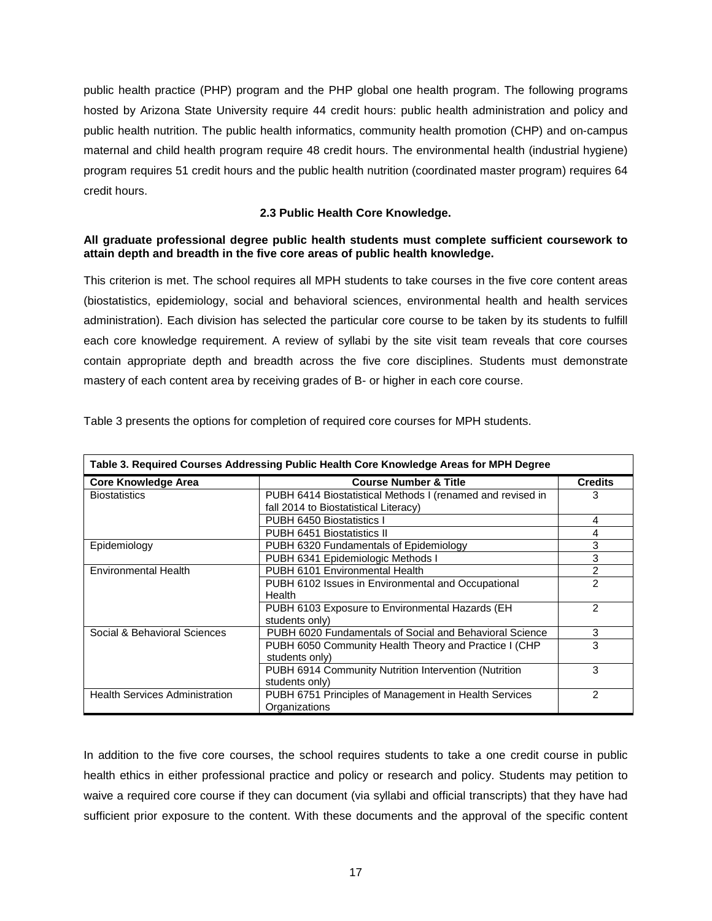public health practice (PHP) program and the PHP global one health program. The following programs hosted by Arizona State University require 44 credit hours: public health administration and policy and public health nutrition. The public health informatics, community health promotion (CHP) and on-campus maternal and child health program require 48 credit hours. The environmental health (industrial hygiene) program requires 51 credit hours and the public health nutrition (coordinated master program) requires 64 credit hours.

# **2.3 Public Health Core Knowledge.**

# <span id="page-19-0"></span>**All graduate professional degree public health students must complete sufficient coursework to attain depth and breadth in the five core areas of public health knowledge.**

This criterion is met. The school requires all MPH students to take courses in the five core content areas (biostatistics, epidemiology, social and behavioral sciences, environmental health and health services administration). Each division has selected the particular core course to be taken by its students to fulfill each core knowledge requirement. A review of syllabi by the site visit team reveals that core courses contain appropriate depth and breadth across the five core disciplines. Students must demonstrate mastery of each content area by receiving grades of B- or higher in each core course.

| Table 3. Required Courses Addressing Public Health Core Knowledge Areas for MPH Degree |                                                            |                |  |
|----------------------------------------------------------------------------------------|------------------------------------------------------------|----------------|--|
| <b>Core Knowledge Area</b>                                                             | <b>Course Number &amp; Title</b>                           | <b>Credits</b> |  |
| <b>Biostatistics</b>                                                                   | PUBH 6414 Biostatistical Methods I (renamed and revised in | 3              |  |
|                                                                                        | fall 2014 to Biostatistical Literacy)                      |                |  |
|                                                                                        | PUBH 6450 Biostatistics I                                  | 4              |  |
|                                                                                        | PUBH 6451 Biostatistics II                                 | 4              |  |
| Epidemiology                                                                           | PUBH 6320 Fundamentals of Epidemiology                     | 3              |  |
|                                                                                        | PUBH 6341 Epidemiologic Methods I                          | 3              |  |
| <b>Environmental Health</b>                                                            | PUBH 6101 Environmental Health                             | 2              |  |
|                                                                                        | PUBH 6102 Issues in Environmental and Occupational         | 2              |  |
|                                                                                        | Health                                                     |                |  |
|                                                                                        | PUBH 6103 Exposure to Environmental Hazards (EH            | 2              |  |
|                                                                                        | students only)                                             |                |  |
| Social & Behavioral Sciences                                                           | PUBH 6020 Fundamentals of Social and Behavioral Science    | 3              |  |
|                                                                                        | PUBH 6050 Community Health Theory and Practice I (CHP      | 3              |  |
|                                                                                        | students only)                                             |                |  |
|                                                                                        | PUBH 6914 Community Nutrition Intervention (Nutrition      | 3              |  |
|                                                                                        | students only)                                             |                |  |
| <b>Health Services Administration</b>                                                  | PUBH 6751 Principles of Management in Health Services      | 2              |  |
|                                                                                        | Organizations                                              |                |  |

Table 3 presents the options for completion of required core courses for MPH students.

In addition to the five core courses, the school requires students to take a one credit course in public health ethics in either professional practice and policy or research and policy. Students may petition to waive a required core course if they can document (via syllabi and official transcripts) that they have had sufficient prior exposure to the content. With these documents and the approval of the specific content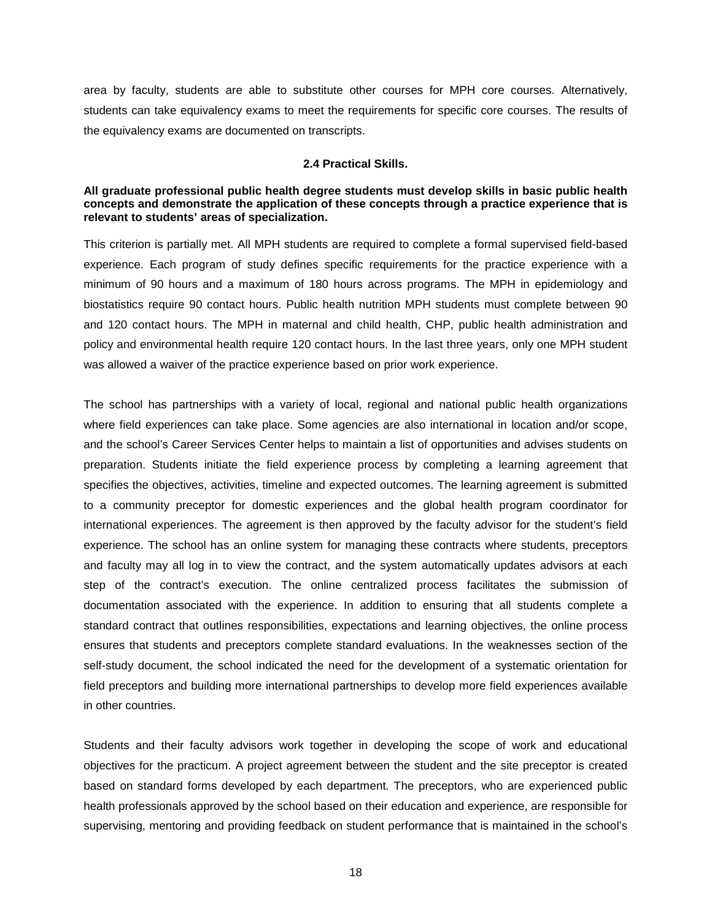area by faculty, students are able to substitute other courses for MPH core courses. Alternatively, students can take equivalency exams to meet the requirements for specific core courses. The results of the equivalency exams are documented on transcripts.

#### **2.4 Practical Skills.**

## <span id="page-20-0"></span>**All graduate professional public health degree students must develop skills in basic public health concepts and demonstrate the application of these concepts through a practice experience that is relevant to students' areas of specialization.**

This criterion is partially met. All MPH students are required to complete a formal supervised field-based experience. Each program of study defines specific requirements for the practice experience with a minimum of 90 hours and a maximum of 180 hours across programs. The MPH in epidemiology and biostatistics require 90 contact hours. Public health nutrition MPH students must complete between 90 and 120 contact hours. The MPH in maternal and child health, CHP, public health administration and policy and environmental health require 120 contact hours. In the last three years, only one MPH student was allowed a waiver of the practice experience based on prior work experience.

The school has partnerships with a variety of local, regional and national public health organizations where field experiences can take place. Some agencies are also international in location and/or scope, and the school's Career Services Center helps to maintain a list of opportunities and advises students on preparation. Students initiate the field experience process by completing a learning agreement that specifies the objectives, activities, timeline and expected outcomes. The learning agreement is submitted to a community preceptor for domestic experiences and the global health program coordinator for international experiences. The agreement is then approved by the faculty advisor for the student's field experience. The school has an online system for managing these contracts where students, preceptors and faculty may all log in to view the contract, and the system automatically updates advisors at each step of the contract's execution. The online centralized process facilitates the submission of documentation associated with the experience. In addition to ensuring that all students complete a standard contract that outlines responsibilities, expectations and learning objectives, the online process ensures that students and preceptors complete standard evaluations. In the weaknesses section of the self-study document, the school indicated the need for the development of a systematic orientation for field preceptors and building more international partnerships to develop more field experiences available in other countries.

Students and their faculty advisors work together in developing the scope of work and educational objectives for the practicum. A project agreement between the student and the site preceptor is created based on standard forms developed by each department. The preceptors, who are experienced public health professionals approved by the school based on their education and experience, are responsible for supervising, mentoring and providing feedback on student performance that is maintained in the school's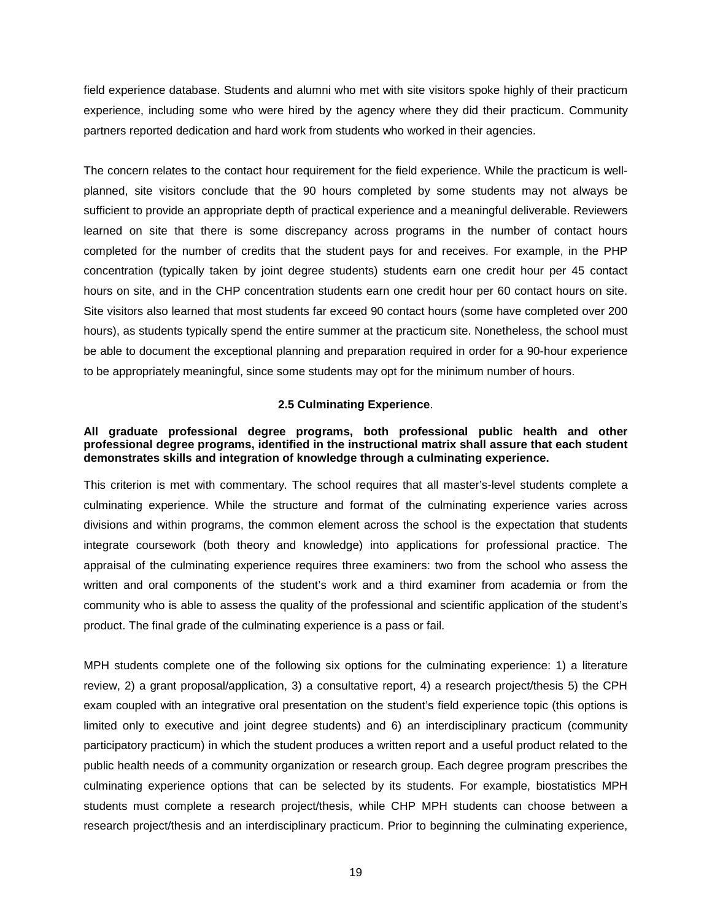field experience database. Students and alumni who met with site visitors spoke highly of their practicum experience, including some who were hired by the agency where they did their practicum. Community partners reported dedication and hard work from students who worked in their agencies.

The concern relates to the contact hour requirement for the field experience. While the practicum is wellplanned, site visitors conclude that the 90 hours completed by some students may not always be sufficient to provide an appropriate depth of practical experience and a meaningful deliverable. Reviewers learned on site that there is some discrepancy across programs in the number of contact hours completed for the number of credits that the student pays for and receives. For example, in the PHP concentration (typically taken by joint degree students) students earn one credit hour per 45 contact hours on site, and in the CHP concentration students earn one credit hour per 60 contact hours on site. Site visitors also learned that most students far exceed 90 contact hours (some have completed over 200 hours), as students typically spend the entire summer at the practicum site. Nonetheless, the school must be able to document the exceptional planning and preparation required in order for a 90-hour experience to be appropriately meaningful, since some students may opt for the minimum number of hours.

## **2.5 Culminating Experience**.

## <span id="page-21-0"></span>**All graduate professional degree programs, both professional public health and other professional degree programs, identified in the instructional matrix shall assure that each student demonstrates skills and integration of knowledge through a culminating experience.**

This criterion is met with commentary. The school requires that all master's-level students complete a culminating experience. While the structure and format of the culminating experience varies across divisions and within programs, the common element across the school is the expectation that students integrate coursework (both theory and knowledge) into applications for professional practice. The appraisal of the culminating experience requires three examiners: two from the school who assess the written and oral components of the student's work and a third examiner from academia or from the community who is able to assess the quality of the professional and scientific application of the student's product. The final grade of the culminating experience is a pass or fail.

MPH students complete one of the following six options for the culminating experience: 1) a literature review, 2) a grant proposal/application, 3) a consultative report, 4) a research project/thesis 5) the CPH exam coupled with an integrative oral presentation on the student's field experience topic (this options is limited only to executive and joint degree students) and 6) an interdisciplinary practicum (community participatory practicum) in which the student produces a written report and a useful product related to the public health needs of a community organization or research group. Each degree program prescribes the culminating experience options that can be selected by its students. For example, biostatistics MPH students must complete a research project/thesis, while CHP MPH students can choose between a research project/thesis and an interdisciplinary practicum. Prior to beginning the culminating experience,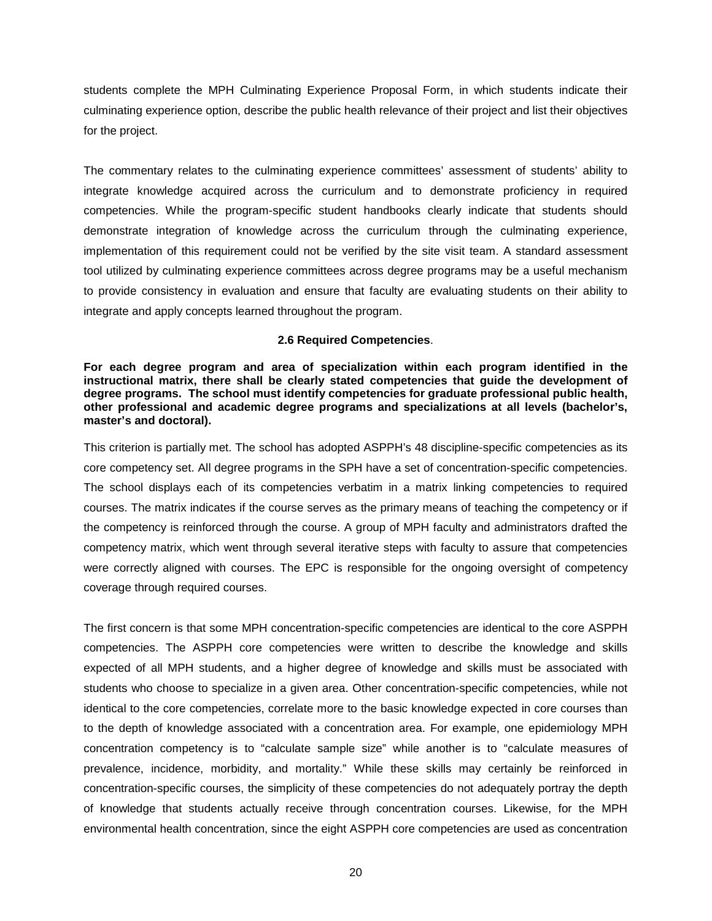students complete the MPH Culminating Experience Proposal Form, in which students indicate their culminating experience option, describe the public health relevance of their project and list their objectives for the project.

The commentary relates to the culminating experience committees' assessment of students' ability to integrate knowledge acquired across the curriculum and to demonstrate proficiency in required competencies. While the program-specific student handbooks clearly indicate that students should demonstrate integration of knowledge across the curriculum through the culminating experience, implementation of this requirement could not be verified by the site visit team. A standard assessment tool utilized by culminating experience committees across degree programs may be a useful mechanism to provide consistency in evaluation and ensure that faculty are evaluating students on their ability to integrate and apply concepts learned throughout the program.

## **2.6 Required Competencies**.

<span id="page-22-0"></span>**For each degree program and area of specialization within each program identified in the instructional matrix, there shall be clearly stated competencies that guide the development of degree programs. The school must identify competencies for graduate professional public health, other professional and academic degree programs and specializations at all levels (bachelor's, master's and doctoral).**

This criterion is partially met. The school has adopted ASPPH's 48 discipline-specific competencies as its core competency set. All degree programs in the SPH have a set of concentration-specific competencies. The school displays each of its competencies verbatim in a matrix linking competencies to required courses. The matrix indicates if the course serves as the primary means of teaching the competency or if the competency is reinforced through the course. A group of MPH faculty and administrators drafted the competency matrix, which went through several iterative steps with faculty to assure that competencies were correctly aligned with courses. The EPC is responsible for the ongoing oversight of competency coverage through required courses.

The first concern is that some MPH concentration-specific competencies are identical to the core ASPPH competencies. The ASPPH core competencies were written to describe the knowledge and skills expected of all MPH students, and a higher degree of knowledge and skills must be associated with students who choose to specialize in a given area. Other concentration-specific competencies, while not identical to the core competencies, correlate more to the basic knowledge expected in core courses than to the depth of knowledge associated with a concentration area. For example, one epidemiology MPH concentration competency is to "calculate sample size" while another is to "calculate measures of prevalence, incidence, morbidity, and mortality." While these skills may certainly be reinforced in concentration-specific courses, the simplicity of these competencies do not adequately portray the depth of knowledge that students actually receive through concentration courses. Likewise, for the MPH environmental health concentration, since the eight ASPPH core competencies are used as concentration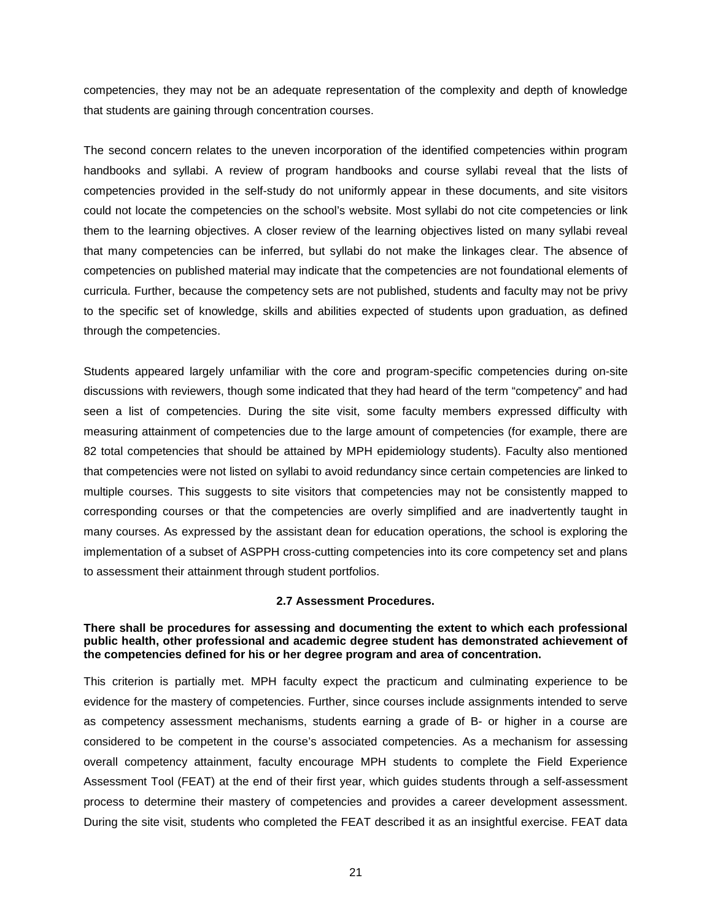competencies, they may not be an adequate representation of the complexity and depth of knowledge that students are gaining through concentration courses.

The second concern relates to the uneven incorporation of the identified competencies within program handbooks and syllabi. A review of program handbooks and course syllabi reveal that the lists of competencies provided in the self-study do not uniformly appear in these documents, and site visitors could not locate the competencies on the school's website. Most syllabi do not cite competencies or link them to the learning objectives. A closer review of the learning objectives listed on many syllabi reveal that many competencies can be inferred, but syllabi do not make the linkages clear. The absence of competencies on published material may indicate that the competencies are not foundational elements of curricula. Further, because the competency sets are not published, students and faculty may not be privy to the specific set of knowledge, skills and abilities expected of students upon graduation, as defined through the competencies.

Students appeared largely unfamiliar with the core and program-specific competencies during on-site discussions with reviewers, though some indicated that they had heard of the term "competency" and had seen a list of competencies. During the site visit, some faculty members expressed difficulty with measuring attainment of competencies due to the large amount of competencies (for example, there are 82 total competencies that should be attained by MPH epidemiology students). Faculty also mentioned that competencies were not listed on syllabi to avoid redundancy since certain competencies are linked to multiple courses. This suggests to site visitors that competencies may not be consistently mapped to corresponding courses or that the competencies are overly simplified and are inadvertently taught in many courses. As expressed by the assistant dean for education operations, the school is exploring the implementation of a subset of ASPPH cross-cutting competencies into its core competency set and plans to assessment their attainment through student portfolios.

## **2.7 Assessment Procedures.**

#### <span id="page-23-0"></span>**There shall be procedures for assessing and documenting the extent to which each professional public health, other professional and academic degree student has demonstrated achievement of the competencies defined for his or her degree program and area of concentration.**

This criterion is partially met. MPH faculty expect the practicum and culminating experience to be evidence for the mastery of competencies. Further, since courses include assignments intended to serve as competency assessment mechanisms, students earning a grade of B- or higher in a course are considered to be competent in the course's associated competencies. As a mechanism for assessing overall competency attainment, faculty encourage MPH students to complete the Field Experience Assessment Tool (FEAT) at the end of their first year, which guides students through a self-assessment process to determine their mastery of competencies and provides a career development assessment. During the site visit, students who completed the FEAT described it as an insightful exercise. FEAT data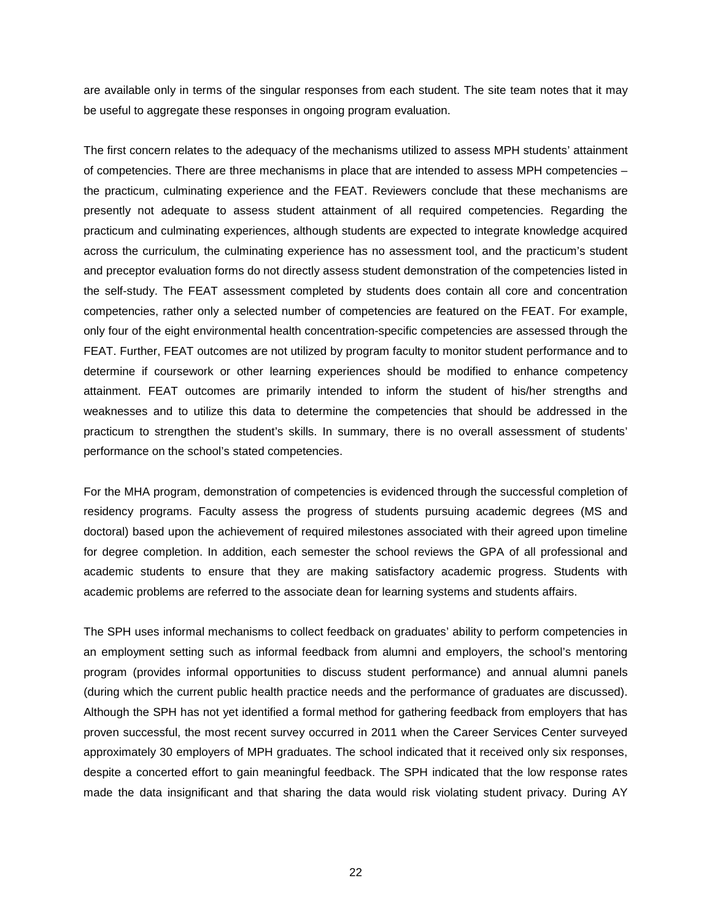are available only in terms of the singular responses from each student. The site team notes that it may be useful to aggregate these responses in ongoing program evaluation.

The first concern relates to the adequacy of the mechanisms utilized to assess MPH students' attainment of competencies. There are three mechanisms in place that are intended to assess MPH competencies – the practicum, culminating experience and the FEAT. Reviewers conclude that these mechanisms are presently not adequate to assess student attainment of all required competencies. Regarding the practicum and culminating experiences, although students are expected to integrate knowledge acquired across the curriculum, the culminating experience has no assessment tool, and the practicum's student and preceptor evaluation forms do not directly assess student demonstration of the competencies listed in the self-study. The FEAT assessment completed by students does contain all core and concentration competencies, rather only a selected number of competencies are featured on the FEAT. For example, only four of the eight environmental health concentration-specific competencies are assessed through the FEAT. Further, FEAT outcomes are not utilized by program faculty to monitor student performance and to determine if coursework or other learning experiences should be modified to enhance competency attainment. FEAT outcomes are primarily intended to inform the student of his/her strengths and weaknesses and to utilize this data to determine the competencies that should be addressed in the practicum to strengthen the student's skills. In summary, there is no overall assessment of students' performance on the school's stated competencies.

For the MHA program, demonstration of competencies is evidenced through the successful completion of residency programs. Faculty assess the progress of students pursuing academic degrees (MS and doctoral) based upon the achievement of required milestones associated with their agreed upon timeline for degree completion. In addition, each semester the school reviews the GPA of all professional and academic students to ensure that they are making satisfactory academic progress. Students with academic problems are referred to the associate dean for learning systems and students affairs.

The SPH uses informal mechanisms to collect feedback on graduates' ability to perform competencies in an employment setting such as informal feedback from alumni and employers, the school's mentoring program (provides informal opportunities to discuss student performance) and annual alumni panels (during which the current public health practice needs and the performance of graduates are discussed). Although the SPH has not yet identified a formal method for gathering feedback from employers that has proven successful, the most recent survey occurred in 2011 when the Career Services Center surveyed approximately 30 employers of MPH graduates. The school indicated that it received only six responses, despite a concerted effort to gain meaningful feedback. The SPH indicated that the low response rates made the data insignificant and that sharing the data would risk violating student privacy. During AY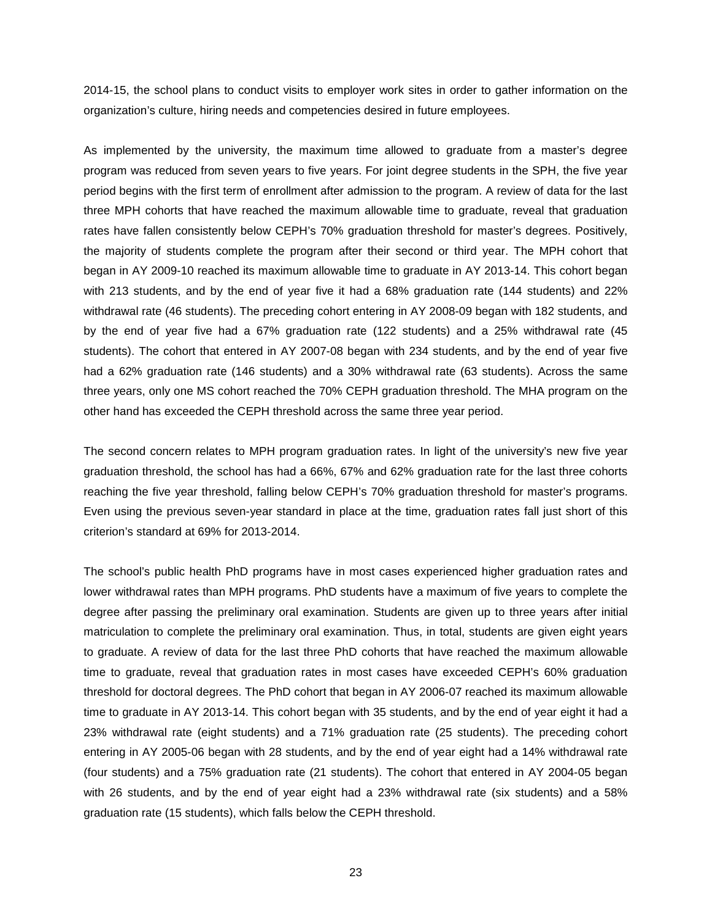2014-15, the school plans to conduct visits to employer work sites in order to gather information on the organization's culture, hiring needs and competencies desired in future employees.

As implemented by the university, the maximum time allowed to graduate from a master's degree program was reduced from seven years to five years. For joint degree students in the SPH, the five year period begins with the first term of enrollment after admission to the program. A review of data for the last three MPH cohorts that have reached the maximum allowable time to graduate, reveal that graduation rates have fallen consistently below CEPH's 70% graduation threshold for master's degrees. Positively, the majority of students complete the program after their second or third year. The MPH cohort that began in AY 2009-10 reached its maximum allowable time to graduate in AY 2013-14. This cohort began with 213 students, and by the end of year five it had a 68% graduation rate (144 students) and 22% withdrawal rate (46 students). The preceding cohort entering in AY 2008-09 began with 182 students, and by the end of year five had a 67% graduation rate (122 students) and a 25% withdrawal rate (45 students). The cohort that entered in AY 2007-08 began with 234 students, and by the end of year five had a 62% graduation rate (146 students) and a 30% withdrawal rate (63 students). Across the same three years, only one MS cohort reached the 70% CEPH graduation threshold. The MHA program on the other hand has exceeded the CEPH threshold across the same three year period.

The second concern relates to MPH program graduation rates. In light of the university's new five year graduation threshold, the school has had a 66%, 67% and 62% graduation rate for the last three cohorts reaching the five year threshold, falling below CEPH's 70% graduation threshold for master's programs. Even using the previous seven-year standard in place at the time, graduation rates fall just short of this criterion's standard at 69% for 2013-2014.

The school's public health PhD programs have in most cases experienced higher graduation rates and lower withdrawal rates than MPH programs. PhD students have a maximum of five years to complete the degree after passing the preliminary oral examination. Students are given up to three years after initial matriculation to complete the preliminary oral examination. Thus, in total, students are given eight years to graduate. A review of data for the last three PhD cohorts that have reached the maximum allowable time to graduate, reveal that graduation rates in most cases have exceeded CEPH's 60% graduation threshold for doctoral degrees. The PhD cohort that began in AY 2006-07 reached its maximum allowable time to graduate in AY 2013-14. This cohort began with 35 students, and by the end of year eight it had a 23% withdrawal rate (eight students) and a 71% graduation rate (25 students). The preceding cohort entering in AY 2005-06 began with 28 students, and by the end of year eight had a 14% withdrawal rate (four students) and a 75% graduation rate (21 students). The cohort that entered in AY 2004-05 began with 26 students, and by the end of year eight had a 23% withdrawal rate (six students) and a 58% graduation rate (15 students), which falls below the CEPH threshold.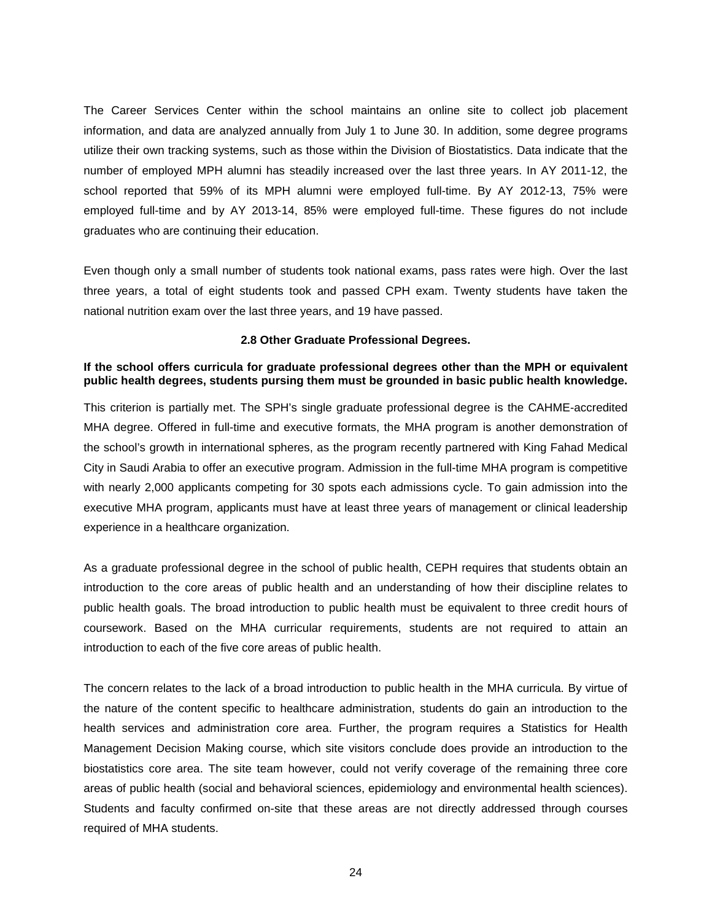The Career Services Center within the school maintains an online site to collect job placement information, and data are analyzed annually from July 1 to June 30. In addition, some degree programs utilize their own tracking systems, such as those within the Division of Biostatistics. Data indicate that the number of employed MPH alumni has steadily increased over the last three years. In AY 2011-12, the school reported that 59% of its MPH alumni were employed full-time. By AY 2012-13, 75% were employed full-time and by AY 2013-14, 85% were employed full-time. These figures do not include graduates who are continuing their education.

Even though only a small number of students took national exams, pass rates were high. Over the last three years, a total of eight students took and passed CPH exam. Twenty students have taken the national nutrition exam over the last three years, and 19 have passed.

#### **2.8 Other Graduate Professional Degrees.**

# <span id="page-26-0"></span>**If the school offers curricula for graduate professional degrees other than the MPH or equivalent public health degrees, students pursing them must be grounded in basic public health knowledge.**

This criterion is partially met. The SPH's single graduate professional degree is the CAHME-accredited MHA degree. Offered in full-time and executive formats, the MHA program is another demonstration of the school's growth in international spheres, as the program recently partnered with King Fahad Medical City in Saudi Arabia to offer an executive program. Admission in the full-time MHA program is competitive with nearly 2,000 applicants competing for 30 spots each admissions cycle. To gain admission into the executive MHA program, applicants must have at least three years of management or clinical leadership experience in a healthcare organization.

As a graduate professional degree in the school of public health, CEPH requires that students obtain an introduction to the core areas of public health and an understanding of how their discipline relates to public health goals. The broad introduction to public health must be equivalent to three credit hours of coursework. Based on the MHA curricular requirements, students are not required to attain an introduction to each of the five core areas of public health.

The concern relates to the lack of a broad introduction to public health in the MHA curricula. By virtue of the nature of the content specific to healthcare administration, students do gain an introduction to the health services and administration core area. Further, the program requires a Statistics for Health Management Decision Making course, which site visitors conclude does provide an introduction to the biostatistics core area. The site team however, could not verify coverage of the remaining three core areas of public health (social and behavioral sciences, epidemiology and environmental health sciences). Students and faculty confirmed on-site that these areas are not directly addressed through courses required of MHA students.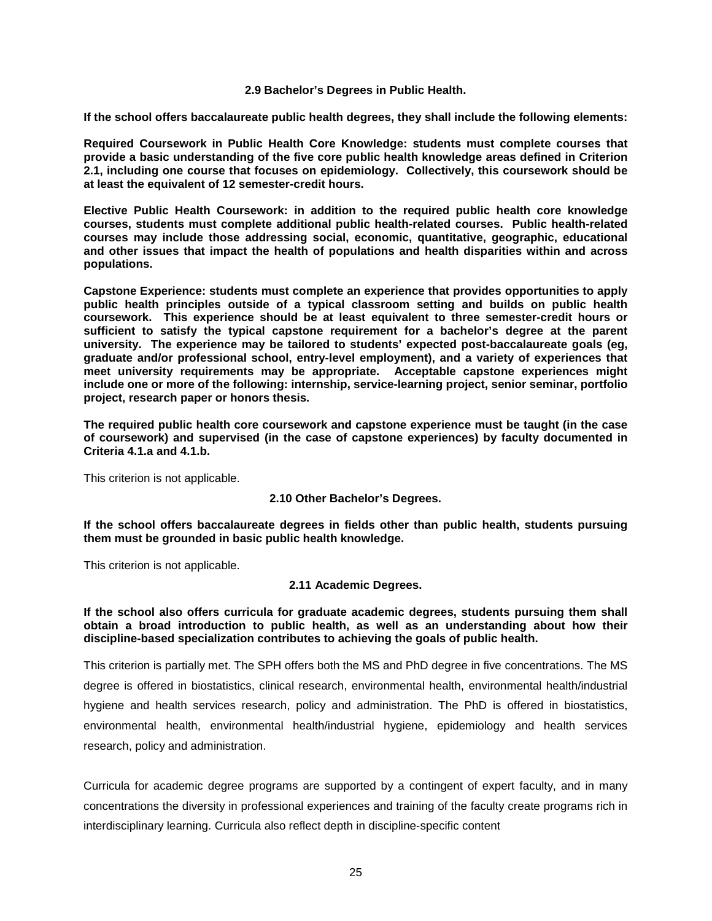#### **2.9 Bachelor's Degrees in Public Health.**

<span id="page-27-0"></span>**If the school offers baccalaureate public health degrees, they shall include the following elements:**

**Required Coursework in Public Health Core Knowledge: students must complete courses that provide a basic understanding of the five core public health knowledge areas defined in Criterion 2.1, including one course that focuses on epidemiology. Collectively, this coursework should be at least the equivalent of 12 semester-credit hours.**

**Elective Public Health Coursework: in addition to the required public health core knowledge courses, students must complete additional public health-related courses. Public health-related courses may include those addressing social, economic, quantitative, geographic, educational and other issues that impact the health of populations and health disparities within and across populations.**

**Capstone Experience: students must complete an experience that provides opportunities to apply public health principles outside of a typical classroom setting and builds on public health coursework. This experience should be at least equivalent to three semester-credit hours or sufficient to satisfy the typical capstone requirement for a bachelor's degree at the parent university. The experience may be tailored to students' expected post-baccalaureate goals (eg, graduate and/or professional school, entry-level employment), and a variety of experiences that meet university requirements may be appropriate. Acceptable capstone experiences might include one or more of the following: internship, service-learning project, senior seminar, portfolio project, research paper or honors thesis.**

**The required public health core coursework and capstone experience must be taught (in the case of coursework) and supervised (in the case of capstone experiences) by faculty documented in Criteria 4.1.a and 4.1.b.**

<span id="page-27-1"></span>This criterion is not applicable.

## **2.10 Other Bachelor's Degrees.**

**If the school offers baccalaureate degrees in fields other than public health, students pursuing them must be grounded in basic public health knowledge.**

<span id="page-27-2"></span>This criterion is not applicable.

## **2.11 Academic Degrees.**

## **If the school also offers curricula for graduate academic degrees, students pursuing them shall obtain a broad introduction to public health, as well as an understanding about how their discipline-based specialization contributes to achieving the goals of public health.**

This criterion is partially met. The SPH offers both the MS and PhD degree in five concentrations. The MS degree is offered in biostatistics, clinical research, environmental health, environmental health/industrial hygiene and health services research, policy and administration. The PhD is offered in biostatistics, environmental health, environmental health/industrial hygiene, epidemiology and health services research, policy and administration.

Curricula for academic degree programs are supported by a contingent of expert faculty, and in many concentrations the diversity in professional experiences and training of the faculty create programs rich in interdisciplinary learning. Curricula also reflect depth in discipline-specific content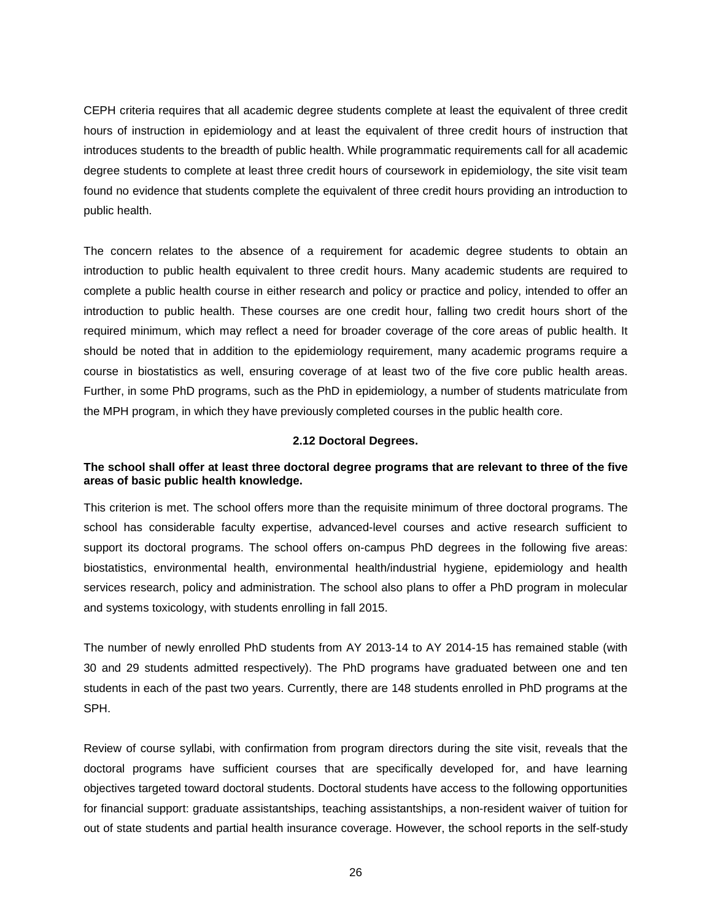CEPH criteria requires that all academic degree students complete at least the equivalent of three credit hours of instruction in epidemiology and at least the equivalent of three credit hours of instruction that introduces students to the breadth of public health. While programmatic requirements call for all academic degree students to complete at least three credit hours of coursework in epidemiology, the site visit team found no evidence that students complete the equivalent of three credit hours providing an introduction to public health.

The concern relates to the absence of a requirement for academic degree students to obtain an introduction to public health equivalent to three credit hours. Many academic students are required to complete a public health course in either research and policy or practice and policy, intended to offer an introduction to public health. These courses are one credit hour, falling two credit hours short of the required minimum, which may reflect a need for broader coverage of the core areas of public health. It should be noted that in addition to the epidemiology requirement, many academic programs require a course in biostatistics as well, ensuring coverage of at least two of the five core public health areas. Further, in some PhD programs, such as the PhD in epidemiology, a number of students matriculate from the MPH program, in which they have previously completed courses in the public health core.

## **2.12 Doctoral Degrees.**

## <span id="page-28-0"></span>**The school shall offer at least three doctoral degree programs that are relevant to three of the five areas of basic public health knowledge.**

This criterion is met. The school offers more than the requisite minimum of three doctoral programs. The school has considerable faculty expertise, advanced-level courses and active research sufficient to support its doctoral programs. The school offers on-campus PhD degrees in the following five areas: biostatistics, environmental health, environmental health/industrial hygiene, epidemiology and health services research, policy and administration. The school also plans to offer a PhD program in molecular and systems toxicology, with students enrolling in fall 2015.

The number of newly enrolled PhD students from AY 2013-14 to AY 2014-15 has remained stable (with 30 and 29 students admitted respectively). The PhD programs have graduated between one and ten students in each of the past two years. Currently, there are 148 students enrolled in PhD programs at the SPH.

Review of course syllabi, with confirmation from program directors during the site visit, reveals that the doctoral programs have sufficient courses that are specifically developed for, and have learning objectives targeted toward doctoral students. Doctoral students have access to the following opportunities for financial support: graduate assistantships, teaching assistantships, a non-resident waiver of tuition for out of state students and partial health insurance coverage. However, the school reports in the self-study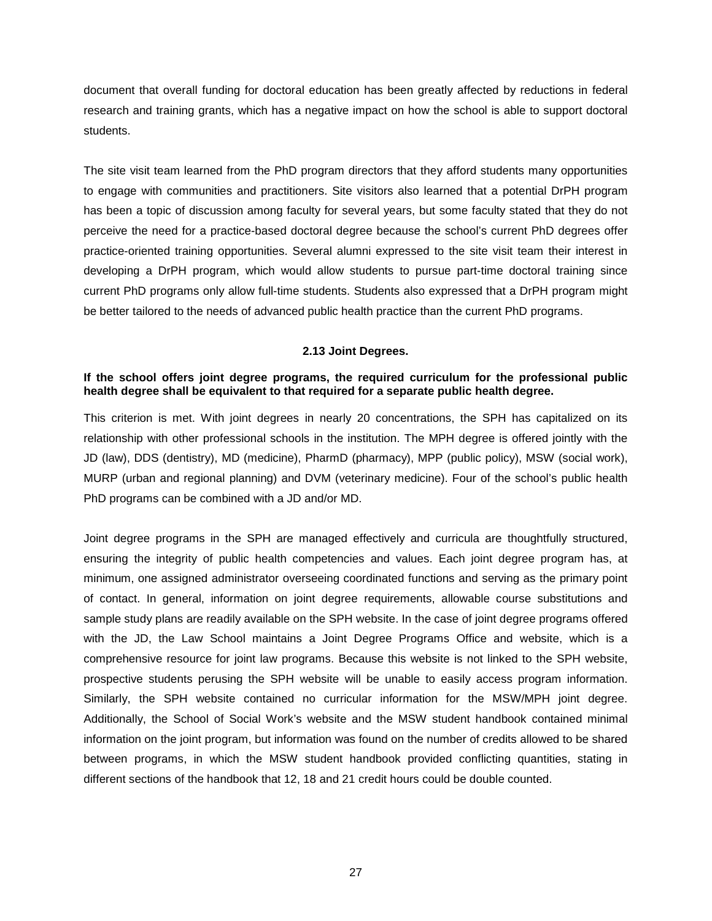document that overall funding for doctoral education has been greatly affected by reductions in federal research and training grants, which has a negative impact on how the school is able to support doctoral students.

The site visit team learned from the PhD program directors that they afford students many opportunities to engage with communities and practitioners. Site visitors also learned that a potential DrPH program has been a topic of discussion among faculty for several years, but some faculty stated that they do not perceive the need for a practice-based doctoral degree because the school's current PhD degrees offer practice-oriented training opportunities. Several alumni expressed to the site visit team their interest in developing a DrPH program, which would allow students to pursue part-time doctoral training since current PhD programs only allow full-time students. Students also expressed that a DrPH program might be better tailored to the needs of advanced public health practice than the current PhD programs.

#### **2.13 Joint Degrees.**

#### <span id="page-29-0"></span>**If the school offers joint degree programs, the required curriculum for the professional public health degree shall be equivalent to that required for a separate public health degree.**

This criterion is met. With joint degrees in nearly 20 concentrations, the SPH has capitalized on its relationship with other professional schools in the institution. The MPH degree is offered jointly with the JD (law), DDS (dentistry), MD (medicine), PharmD (pharmacy), MPP (public policy), MSW (social work), MURP (urban and regional planning) and DVM (veterinary medicine). Four of the school's public health PhD programs can be combined with a JD and/or MD.

Joint degree programs in the SPH are managed effectively and curricula are thoughtfully structured, ensuring the integrity of public health competencies and values. Each joint degree program has, at minimum, one assigned administrator overseeing coordinated functions and serving as the primary point of contact. In general, information on joint degree requirements, allowable course substitutions and sample study plans are readily available on the SPH website. In the case of joint degree programs offered with the JD, the Law School maintains a Joint Degree Programs Office and website, which is a comprehensive resource for joint law programs. Because this website is not linked to the SPH website, prospective students perusing the SPH website will be unable to easily access program information. Similarly, the SPH website contained no curricular information for the MSW/MPH joint degree. Additionally, the School of Social Work's website and the MSW student handbook contained minimal information on the joint program, but information was found on the number of credits allowed to be shared between programs, in which the MSW student handbook provided conflicting quantities, stating in different sections of the handbook that 12, 18 and 21 credit hours could be double counted.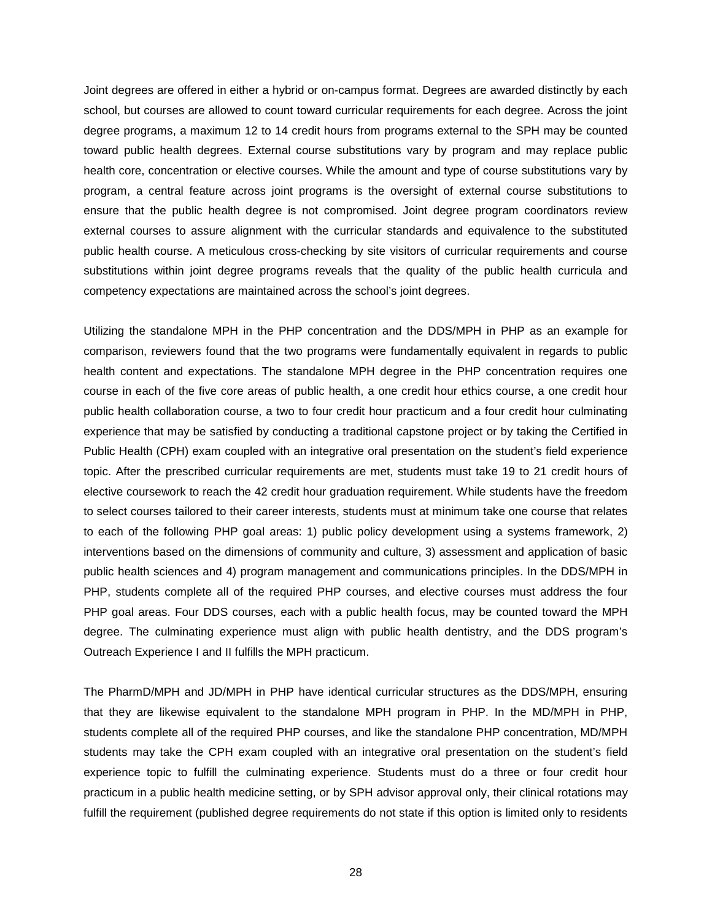Joint degrees are offered in either a hybrid or on-campus format. Degrees are awarded distinctly by each school, but courses are allowed to count toward curricular requirements for each degree. Across the joint degree programs, a maximum 12 to 14 credit hours from programs external to the SPH may be counted toward public health degrees. External course substitutions vary by program and may replace public health core, concentration or elective courses. While the amount and type of course substitutions vary by program, a central feature across joint programs is the oversight of external course substitutions to ensure that the public health degree is not compromised. Joint degree program coordinators review external courses to assure alignment with the curricular standards and equivalence to the substituted public health course. A meticulous cross-checking by site visitors of curricular requirements and course substitutions within joint degree programs reveals that the quality of the public health curricula and competency expectations are maintained across the school's joint degrees.

Utilizing the standalone MPH in the PHP concentration and the DDS/MPH in PHP as an example for comparison, reviewers found that the two programs were fundamentally equivalent in regards to public health content and expectations. The standalone MPH degree in the PHP concentration requires one course in each of the five core areas of public health, a one credit hour ethics course, a one credit hour public health collaboration course, a two to four credit hour practicum and a four credit hour culminating experience that may be satisfied by conducting a traditional capstone project or by taking the Certified in Public Health (CPH) exam coupled with an integrative oral presentation on the student's field experience topic. After the prescribed curricular requirements are met, students must take 19 to 21 credit hours of elective coursework to reach the 42 credit hour graduation requirement. While students have the freedom to select courses tailored to their career interests, students must at minimum take one course that relates to each of the following PHP goal areas: 1) public policy development using a systems framework, 2) interventions based on the dimensions of community and culture, 3) assessment and application of basic public health sciences and 4) program management and communications principles. In the DDS/MPH in PHP, students complete all of the required PHP courses, and elective courses must address the four PHP goal areas. Four DDS courses, each with a public health focus, may be counted toward the MPH degree. The culminating experience must align with public health dentistry, and the DDS program's Outreach Experience I and II fulfills the MPH practicum.

The PharmD/MPH and JD/MPH in PHP have identical curricular structures as the DDS/MPH, ensuring that they are likewise equivalent to the standalone MPH program in PHP. In the MD/MPH in PHP, students complete all of the required PHP courses, and like the standalone PHP concentration, MD/MPH students may take the CPH exam coupled with an integrative oral presentation on the student's field experience topic to fulfill the culminating experience. Students must do a three or four credit hour practicum in a public health medicine setting, or by SPH advisor approval only, their clinical rotations may fulfill the requirement (published degree requirements do not state if this option is limited only to residents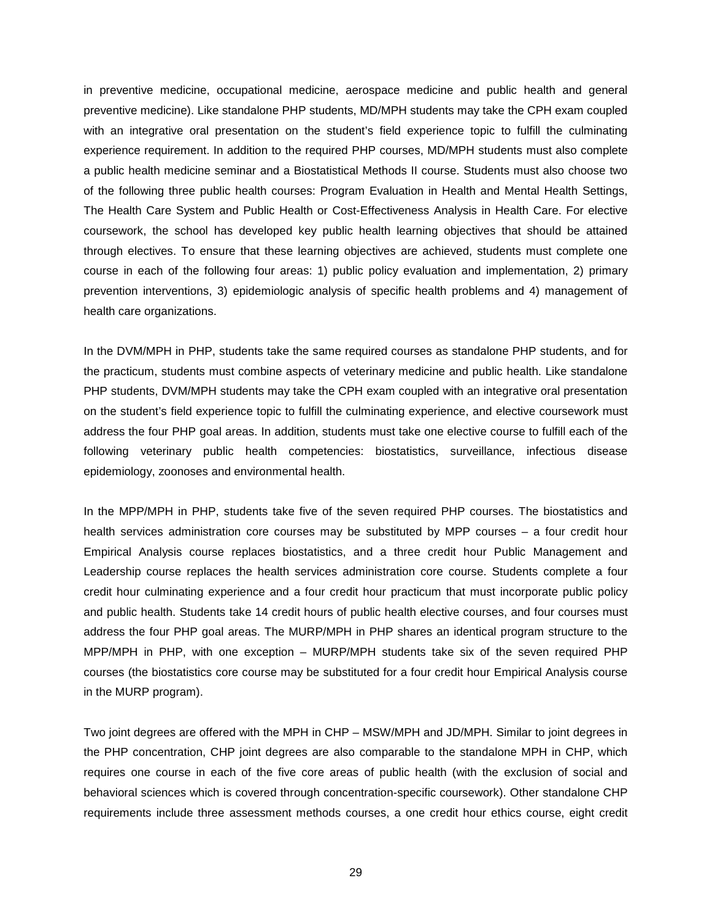in preventive medicine, occupational medicine, aerospace medicine and public health and general preventive medicine). Like standalone PHP students, MD/MPH students may take the CPH exam coupled with an integrative oral presentation on the student's field experience topic to fulfill the culminating experience requirement. In addition to the required PHP courses, MD/MPH students must also complete a public health medicine seminar and a Biostatistical Methods II course. Students must also choose two of the following three public health courses: Program Evaluation in Health and Mental Health Settings, The Health Care System and Public Health or Cost-Effectiveness Analysis in Health Care. For elective coursework, the school has developed key public health learning objectives that should be attained through electives. To ensure that these learning objectives are achieved, students must complete one course in each of the following four areas: 1) public policy evaluation and implementation, 2) primary prevention interventions, 3) epidemiologic analysis of specific health problems and 4) management of health care organizations.

In the DVM/MPH in PHP, students take the same required courses as standalone PHP students, and for the practicum, students must combine aspects of veterinary medicine and public health. Like standalone PHP students, DVM/MPH students may take the CPH exam coupled with an integrative oral presentation on the student's field experience topic to fulfill the culminating experience, and elective coursework must address the four PHP goal areas. In addition, students must take one elective course to fulfill each of the following veterinary public health competencies: biostatistics, surveillance, infectious disease epidemiology, zoonoses and environmental health.

In the MPP/MPH in PHP, students take five of the seven required PHP courses. The biostatistics and health services administration core courses may be substituted by MPP courses – a four credit hour Empirical Analysis course replaces biostatistics, and a three credit hour Public Management and Leadership course replaces the health services administration core course. Students complete a four credit hour culminating experience and a four credit hour practicum that must incorporate public policy and public health. Students take 14 credit hours of public health elective courses, and four courses must address the four PHP goal areas. The MURP/MPH in PHP shares an identical program structure to the MPP/MPH in PHP, with one exception – MURP/MPH students take six of the seven required PHP courses (the biostatistics core course may be substituted for a four credit hour Empirical Analysis course in the MURP program).

Two joint degrees are offered with the MPH in CHP – MSW/MPH and JD/MPH. Similar to joint degrees in the PHP concentration, CHP joint degrees are also comparable to the standalone MPH in CHP, which requires one course in each of the five core areas of public health (with the exclusion of social and behavioral sciences which is covered through concentration-specific coursework). Other standalone CHP requirements include three assessment methods courses, a one credit hour ethics course, eight credit

29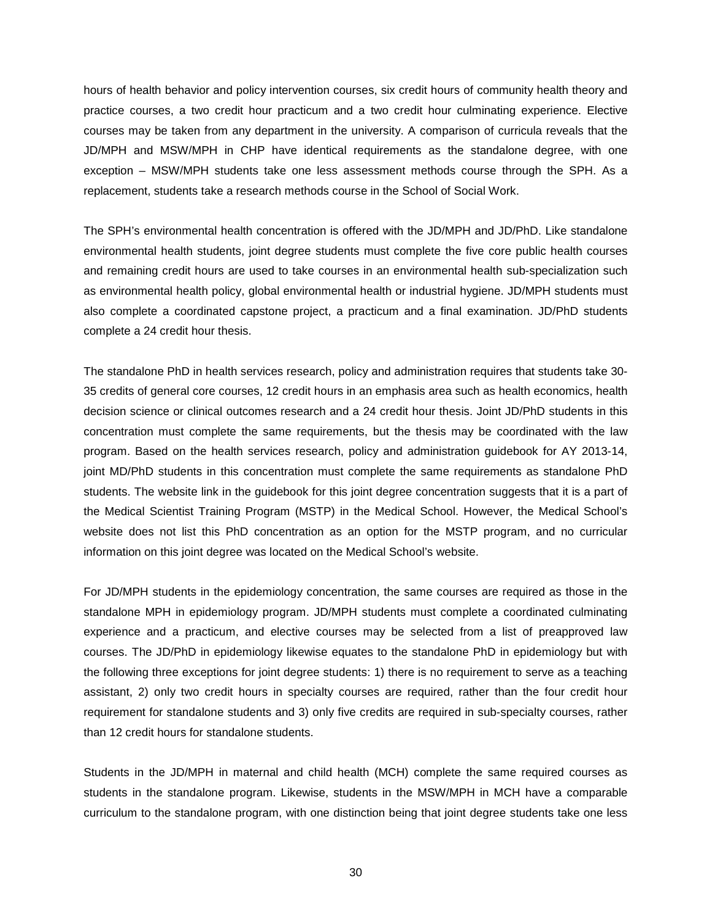hours of health behavior and policy intervention courses, six credit hours of community health theory and practice courses, a two credit hour practicum and a two credit hour culminating experience. Elective courses may be taken from any department in the university. A comparison of curricula reveals that the JD/MPH and MSW/MPH in CHP have identical requirements as the standalone degree, with one exception – MSW/MPH students take one less assessment methods course through the SPH. As a replacement, students take a research methods course in the School of Social Work.

The SPH's environmental health concentration is offered with the JD/MPH and JD/PhD. Like standalone environmental health students, joint degree students must complete the five core public health courses and remaining credit hours are used to take courses in an environmental health sub-specialization such as environmental health policy, global environmental health or industrial hygiene. JD/MPH students must also complete a coordinated capstone project, a practicum and a final examination. JD/PhD students complete a 24 credit hour thesis.

The standalone PhD in health services research, policy and administration requires that students take 30- 35 credits of general core courses, 12 credit hours in an emphasis area such as health economics, health decision science or clinical outcomes research and a 24 credit hour thesis. Joint JD/PhD students in this concentration must complete the same requirements, but the thesis may be coordinated with the law program. Based on the health services research, policy and administration guidebook for AY 2013-14, joint MD/PhD students in this concentration must complete the same requirements as standalone PhD students. The website link in the guidebook for this joint degree concentration suggests that it is a part of the Medical Scientist Training Program (MSTP) in the Medical School. However, the Medical School's website does not list this PhD concentration as an option for the MSTP program, and no curricular information on this joint degree was located on the Medical School's website.

For JD/MPH students in the epidemiology concentration, the same courses are required as those in the standalone MPH in epidemiology program. JD/MPH students must complete a coordinated culminating experience and a practicum, and elective courses may be selected from a list of preapproved law courses. The JD/PhD in epidemiology likewise equates to the standalone PhD in epidemiology but with the following three exceptions for joint degree students: 1) there is no requirement to serve as a teaching assistant, 2) only two credit hours in specialty courses are required, rather than the four credit hour requirement for standalone students and 3) only five credits are required in sub-specialty courses, rather than 12 credit hours for standalone students.

Students in the JD/MPH in maternal and child health (MCH) complete the same required courses as students in the standalone program. Likewise, students in the MSW/MPH in MCH have a comparable curriculum to the standalone program, with one distinction being that joint degree students take one less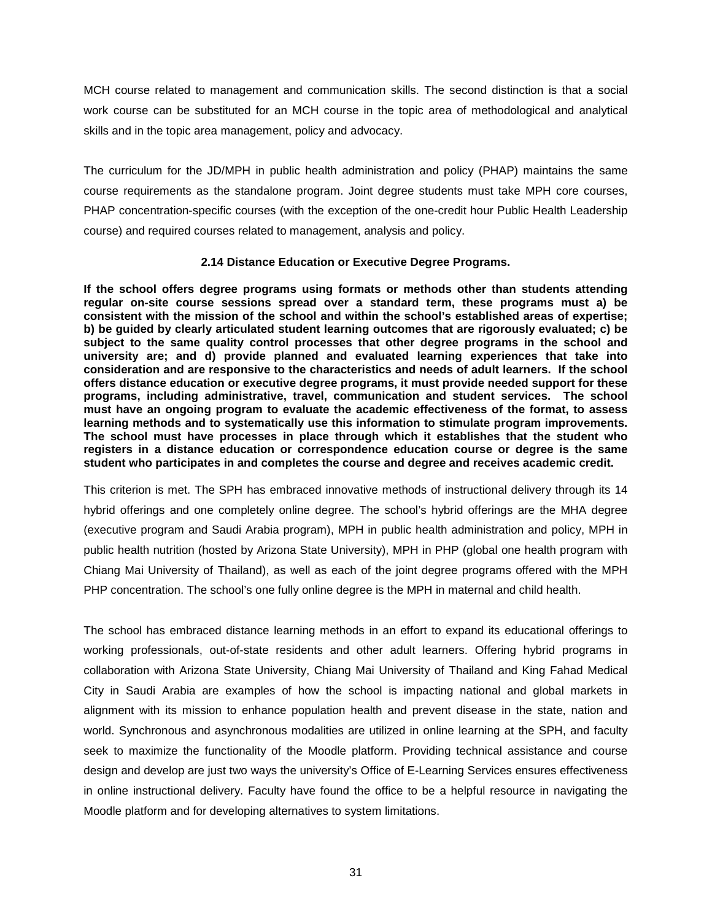MCH course related to management and communication skills. The second distinction is that a social work course can be substituted for an MCH course in the topic area of methodological and analytical skills and in the topic area management, policy and advocacy.

The curriculum for the JD/MPH in public health administration and policy (PHAP) maintains the same course requirements as the standalone program. Joint degree students must take MPH core courses, PHAP concentration-specific courses (with the exception of the one-credit hour Public Health Leadership course) and required courses related to management, analysis and policy.

# **2.14 Distance Education or Executive Degree Programs.**

<span id="page-33-0"></span>**If the school offers degree programs using formats or methods other than students attending regular on-site course sessions spread over a standard term, these programs must a) be consistent with the mission of the school and within the school's established areas of expertise; b) be guided by clearly articulated student learning outcomes that are rigorously evaluated; c) be subject to the same quality control processes that other degree programs in the school and university are; and d) provide planned and evaluated learning experiences that take into consideration and are responsive to the characteristics and needs of adult learners. If the school offers distance education or executive degree programs, it must provide needed support for these programs, including administrative, travel, communication and student services. The school must have an ongoing program to evaluate the academic effectiveness of the format, to assess learning methods and to systematically use this information to stimulate program improvements. The school must have processes in place through which it establishes that the student who registers in a distance education or correspondence education course or degree is the same student who participates in and completes the course and degree and receives academic credit.**

This criterion is met. The SPH has embraced innovative methods of instructional delivery through its 14 hybrid offerings and one completely online degree. The school's hybrid offerings are the MHA degree (executive program and Saudi Arabia program), MPH in public health administration and policy, MPH in public health nutrition (hosted by Arizona State University), MPH in PHP (global one health program with Chiang Mai University of Thailand), as well as each of the joint degree programs offered with the MPH PHP concentration. The school's one fully online degree is the MPH in maternal and child health.

The school has embraced distance learning methods in an effort to expand its educational offerings to working professionals, out-of-state residents and other adult learners. Offering hybrid programs in collaboration with Arizona State University, Chiang Mai University of Thailand and King Fahad Medical City in Saudi Arabia are examples of how the school is impacting national and global markets in alignment with its mission to enhance population health and prevent disease in the state, nation and world. Synchronous and asynchronous modalities are utilized in online learning at the SPH, and faculty seek to maximize the functionality of the Moodle platform. Providing technical assistance and course design and develop are just two ways the university's Office of E-Learning Services ensures effectiveness in online instructional delivery. Faculty have found the office to be a helpful resource in navigating the Moodle platform and for developing alternatives to system limitations.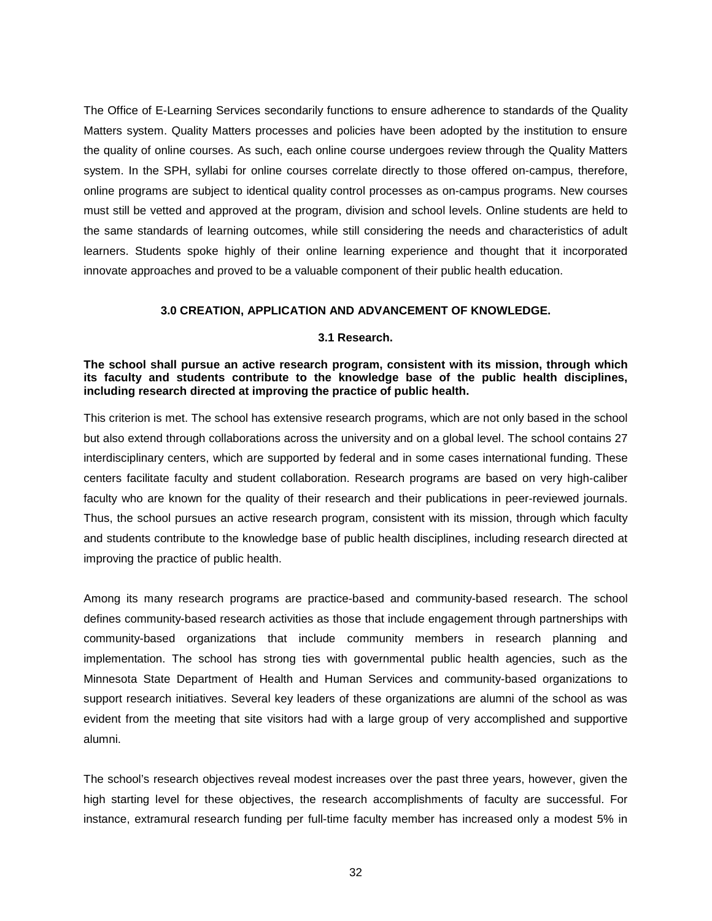The Office of E-Learning Services secondarily functions to ensure adherence to standards of the Quality Matters system. Quality Matters processes and policies have been adopted by the institution to ensure the quality of online courses. As such, each online course undergoes review through the Quality Matters system. In the SPH, syllabi for online courses correlate directly to those offered on-campus, therefore, online programs are subject to identical quality control processes as on-campus programs. New courses must still be vetted and approved at the program, division and school levels. Online students are held to the same standards of learning outcomes, while still considering the needs and characteristics of adult learners. Students spoke highly of their online learning experience and thought that it incorporated innovate approaches and proved to be a valuable component of their public health education.

#### **3.0 CREATION, APPLICATION AND ADVANCEMENT OF KNOWLEDGE.**

#### **3.1 Research.**

<span id="page-34-1"></span><span id="page-34-0"></span>**The school shall pursue an active research program, consistent with its mission, through which its faculty and students contribute to the knowledge base of the public health disciplines, including research directed at improving the practice of public health.**

This criterion is met. The school has extensive research programs, which are not only based in the school but also extend through collaborations across the university and on a global level. The school contains 27 interdisciplinary centers, which are supported by federal and in some cases international funding. These centers facilitate faculty and student collaboration. Research programs are based on very high-caliber faculty who are known for the quality of their research and their publications in peer-reviewed journals. Thus, the school pursues an active research program, consistent with its mission, through which faculty and students contribute to the knowledge base of public health disciplines, including research directed at improving the practice of public health.

Among its many research programs are practice-based and community-based research. The school defines community-based research activities as those that include engagement through partnerships with community-based organizations that include community members in research planning and implementation. The school has strong ties with governmental public health agencies, such as the Minnesota State Department of Health and Human Services and community-based organizations to support research initiatives. Several key leaders of these organizations are alumni of the school as was evident from the meeting that site visitors had with a large group of very accomplished and supportive alumni.

The school's research objectives reveal modest increases over the past three years, however, given the high starting level for these objectives, the research accomplishments of faculty are successful. For instance, extramural research funding per full-time faculty member has increased only a modest 5% in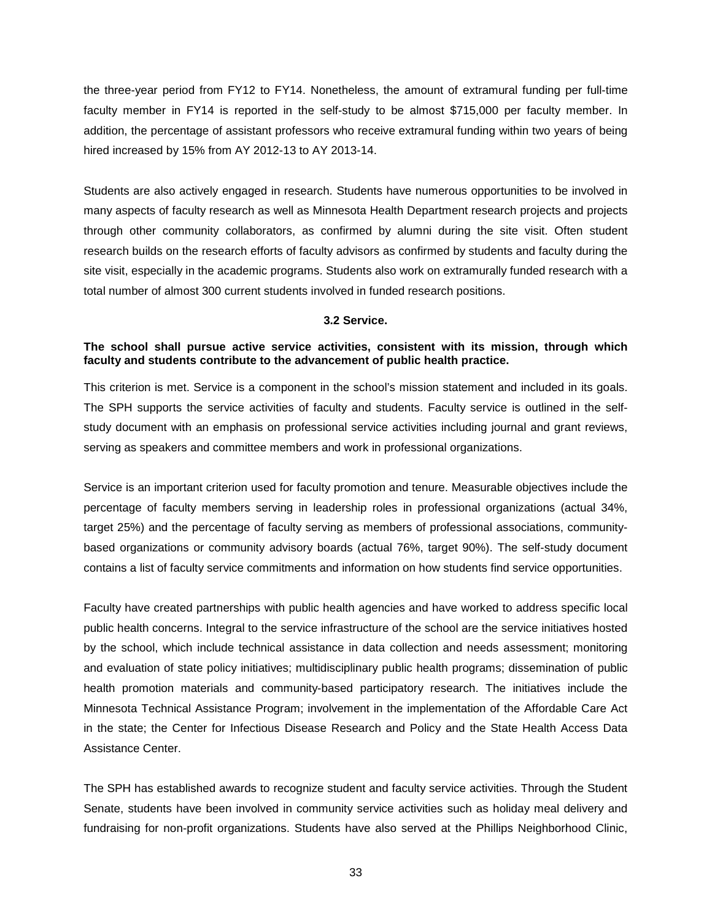the three-year period from FY12 to FY14. Nonetheless, the amount of extramural funding per full-time faculty member in FY14 is reported in the self-study to be almost \$715,000 per faculty member. In addition, the percentage of assistant professors who receive extramural funding within two years of being hired increased by 15% from AY 2012-13 to AY 2013-14.

Students are also actively engaged in research. Students have numerous opportunities to be involved in many aspects of faculty research as well as Minnesota Health Department research projects and projects through other community collaborators, as confirmed by alumni during the site visit. Often student research builds on the research efforts of faculty advisors as confirmed by students and faculty during the site visit, especially in the academic programs. Students also work on extramurally funded research with a total number of almost 300 current students involved in funded research positions.

## **3.2 Service.**

# <span id="page-35-0"></span>**The school shall pursue active service activities, consistent with its mission, through which faculty and students contribute to the advancement of public health practice.**

This criterion is met. Service is a component in the school's mission statement and included in its goals. The SPH supports the service activities of faculty and students. Faculty service is outlined in the selfstudy document with an emphasis on professional service activities including journal and grant reviews, serving as speakers and committee members and work in professional organizations.

Service is an important criterion used for faculty promotion and tenure. Measurable objectives include the percentage of faculty members serving in leadership roles in professional organizations (actual 34%, target 25%) and the percentage of faculty serving as members of professional associations, communitybased organizations or community advisory boards (actual 76%, target 90%). The self-study document contains a list of faculty service commitments and information on how students find service opportunities.

Faculty have created partnerships with public health agencies and have worked to address specific local public health concerns. Integral to the service infrastructure of the school are the service initiatives hosted by the school, which include technical assistance in data collection and needs assessment; monitoring and evaluation of state policy initiatives; multidisciplinary public health programs; dissemination of public health promotion materials and community-based participatory research. The initiatives include the Minnesota Technical Assistance Program; involvement in the implementation of the Affordable Care Act in the state; the Center for Infectious Disease Research and Policy and the State Health Access Data Assistance Center.

The SPH has established awards to recognize student and faculty service activities. Through the Student Senate, students have been involved in community service activities such as holiday meal delivery and fundraising for non-profit organizations. Students have also served at the Phillips Neighborhood Clinic,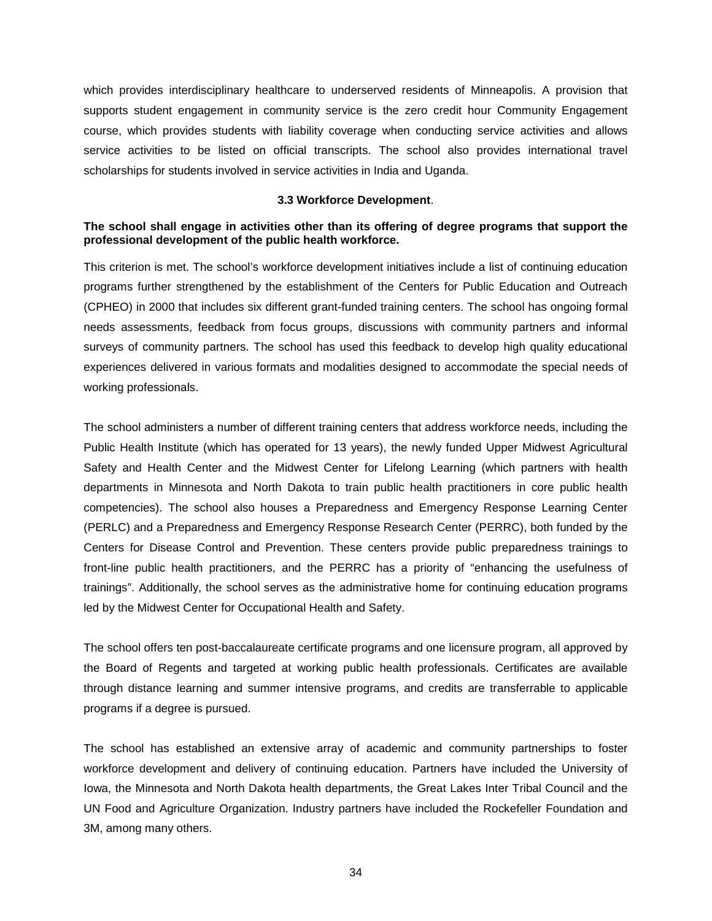which provides interdisciplinary healthcare to underserved residents of Minneapolis. A provision that supports student engagement in community service is the zero credit hour Community Engagement course, which provides students with liability coverage when conducting service activities and allows service activities to be listed on official transcripts. The school also provides international travel scholarships for students involved in service activities in India and Uganda.

#### **3.3 Workforce Development**.

# <span id="page-36-0"></span>**The school shall engage in activities other than its offering of degree programs that support the professional development of the public health workforce.**

This criterion is met. The school's workforce development initiatives include a list of continuing education programs further strengthened by the establishment of the Centers for Public Education and Outreach (CPHEO) in 2000 that includes six different grant-funded training centers. The school has ongoing formal needs assessments, feedback from focus groups, discussions with community partners and informal surveys of community partners. The school has used this feedback to develop high quality educational experiences delivered in various formats and modalities designed to accommodate the special needs of working professionals.

The school administers a number of different training centers that address workforce needs, including the Public Health Institute (which has operated for 13 years), the newly funded Upper Midwest Agricultural Safety and Health Center and the Midwest Center for Lifelong Learning (which partners with health departments in Minnesota and North Dakota to train public health practitioners in core public health competencies). The school also houses a Preparedness and Emergency Response Learning Center (PERLC) and a Preparedness and Emergency Response Research Center (PERRC), both funded by the Centers for Disease Control and Prevention. These centers provide public preparedness trainings to front-line public health practitioners, and the PERRC has a priority of "enhancing the usefulness of trainings". Additionally, the school serves as the administrative home for continuing education programs led by the Midwest Center for Occupational Health and Safety.

The school offers ten post-baccalaureate certificate programs and one licensure program, all approved by the Board of Regents and targeted at working public health professionals. Certificates are available through distance learning and summer intensive programs, and credits are transferrable to applicable programs if a degree is pursued.

The school has established an extensive array of academic and community partnerships to foster workforce development and delivery of continuing education. Partners have included the University of Iowa, the Minnesota and North Dakota health departments, the Great Lakes Inter Tribal Council and the UN Food and Agriculture Organization. Industry partners have included the Rockefeller Foundation and 3M, among many others.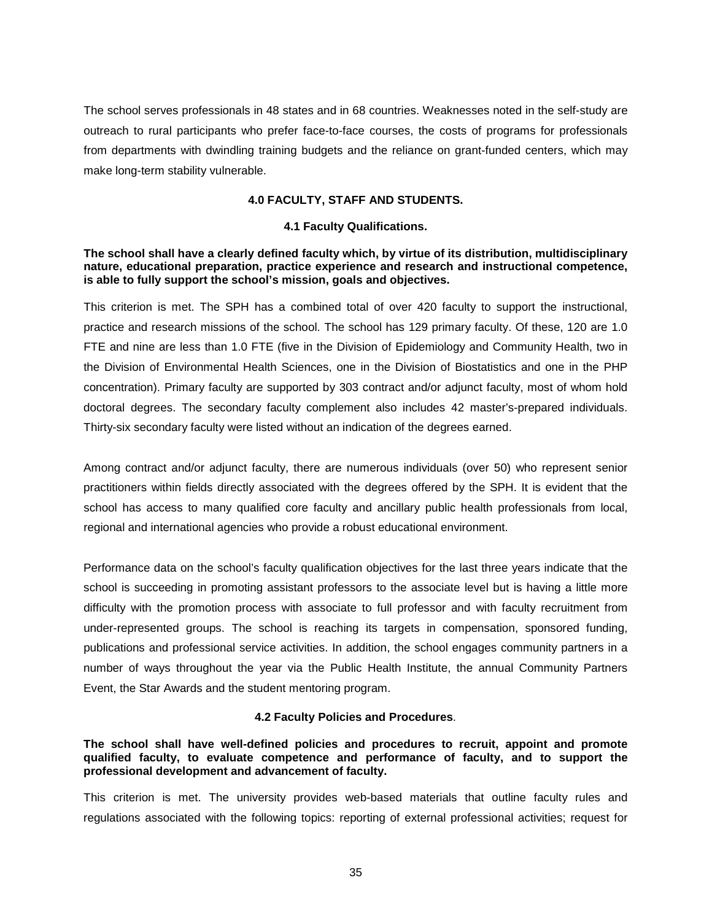The school serves professionals in 48 states and in 68 countries. Weaknesses noted in the self-study are outreach to rural participants who prefer face-to-face courses, the costs of programs for professionals from departments with dwindling training budgets and the reliance on grant-funded centers, which may make long-term stability vulnerable.

#### **4.0 FACULTY, STAFF AND STUDENTS.**

#### **4.1 Faculty Qualifications.**

## <span id="page-37-1"></span><span id="page-37-0"></span>**The school shall have a clearly defined faculty which, by virtue of its distribution, multidisciplinary nature, educational preparation, practice experience and research and instructional competence, is able to fully support the school's mission, goals and objectives.**

This criterion is met. The SPH has a combined total of over 420 faculty to support the instructional, practice and research missions of the school. The school has 129 primary faculty. Of these, 120 are 1.0 FTE and nine are less than 1.0 FTE (five in the Division of Epidemiology and Community Health, two in the Division of Environmental Health Sciences, one in the Division of Biostatistics and one in the PHP concentration). Primary faculty are supported by 303 contract and/or adjunct faculty, most of whom hold doctoral degrees. The secondary faculty complement also includes 42 master's-prepared individuals. Thirty-six secondary faculty were listed without an indication of the degrees earned.

Among contract and/or adjunct faculty, there are numerous individuals (over 50) who represent senior practitioners within fields directly associated with the degrees offered by the SPH. It is evident that the school has access to many qualified core faculty and ancillary public health professionals from local, regional and international agencies who provide a robust educational environment.

Performance data on the school's faculty qualification objectives for the last three years indicate that the school is succeeding in promoting assistant professors to the associate level but is having a little more difficulty with the promotion process with associate to full professor and with faculty recruitment from under-represented groups. The school is reaching its targets in compensation, sponsored funding, publications and professional service activities. In addition, the school engages community partners in a number of ways throughout the year via the Public Health Institute, the annual Community Partners Event, the Star Awards and the student mentoring program.

## **4.2 Faculty Policies and Procedures**.

<span id="page-37-2"></span>**The school shall have well-defined policies and procedures to recruit, appoint and promote qualified faculty, to evaluate competence and performance of faculty, and to support the professional development and advancement of faculty.**

This criterion is met. The university provides web-based materials that outline faculty rules and regulations associated with the following topics: reporting of external professional activities; request for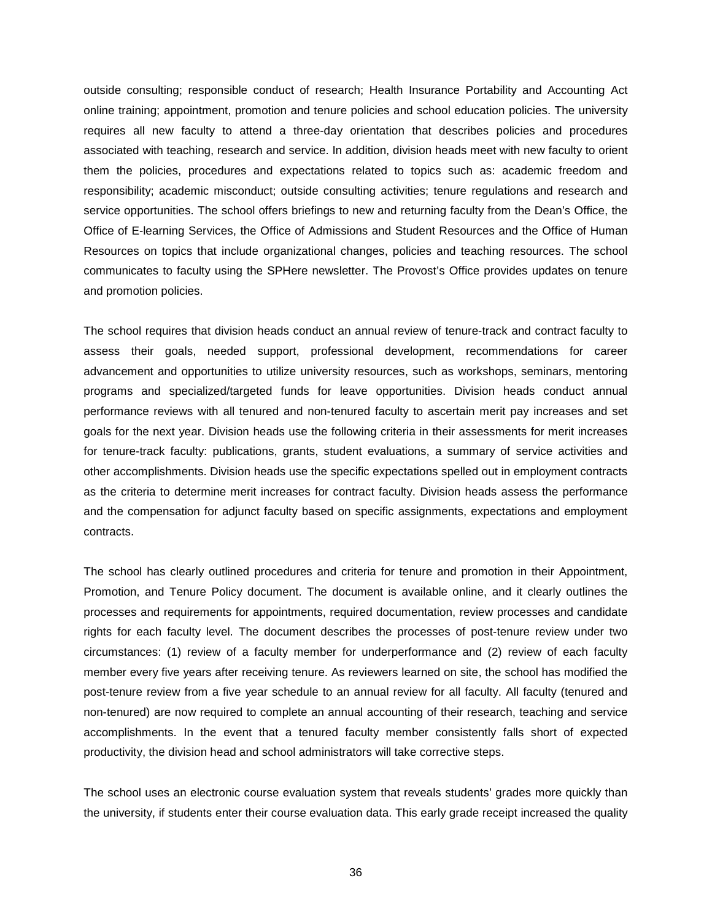outside consulting; responsible conduct of research; Health Insurance Portability and Accounting Act online training; appointment, promotion and tenure policies and school education policies. The university requires all new faculty to attend a three-day orientation that describes policies and procedures associated with teaching, research and service. In addition, division heads meet with new faculty to orient them the policies, procedures and expectations related to topics such as: academic freedom and responsibility; academic misconduct; outside consulting activities; tenure regulations and research and service opportunities. The school offers briefings to new and returning faculty from the Dean's Office, the Office of E-learning Services, the Office of Admissions and Student Resources and the Office of Human Resources on topics that include organizational changes, policies and teaching resources. The school communicates to faculty using the SPHere newsletter. The Provost's Office provides updates on tenure and promotion policies.

The school requires that division heads conduct an annual review of tenure-track and contract faculty to assess their goals, needed support, professional development, recommendations for career advancement and opportunities to utilize university resources, such as workshops, seminars, mentoring programs and specialized/targeted funds for leave opportunities. Division heads conduct annual performance reviews with all tenured and non-tenured faculty to ascertain merit pay increases and set goals for the next year. Division heads use the following criteria in their assessments for merit increases for tenure-track faculty: publications, grants, student evaluations, a summary of service activities and other accomplishments. Division heads use the specific expectations spelled out in employment contracts as the criteria to determine merit increases for contract faculty. Division heads assess the performance and the compensation for adjunct faculty based on specific assignments, expectations and employment contracts.

The school has clearly outlined procedures and criteria for tenure and promotion in their Appointment, Promotion, and Tenure Policy document. The document is available online, and it clearly outlines the processes and requirements for appointments, required documentation, review processes and candidate rights for each faculty level. The document describes the processes of post-tenure review under two circumstances: (1) review of a faculty member for underperformance and (2) review of each faculty member every five years after receiving tenure. As reviewers learned on site, the school has modified the post-tenure review from a five year schedule to an annual review for all faculty. All faculty (tenured and non-tenured) are now required to complete an annual accounting of their research, teaching and service accomplishments. In the event that a tenured faculty member consistently falls short of expected productivity, the division head and school administrators will take corrective steps.

The school uses an electronic course evaluation system that reveals students' grades more quickly than the university, if students enter their course evaluation data. This early grade receipt increased the quality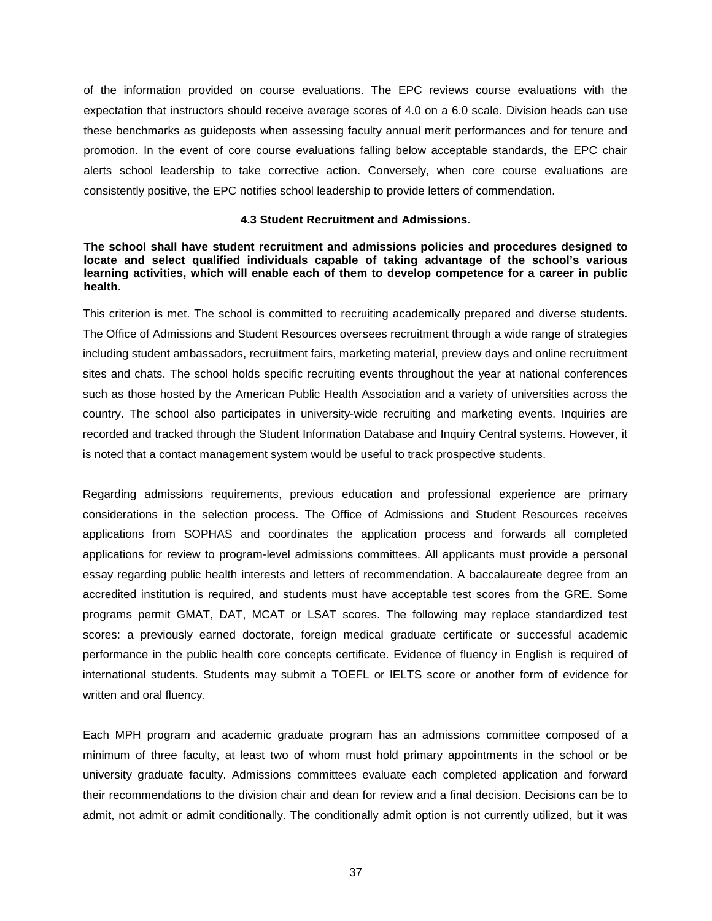of the information provided on course evaluations. The EPC reviews course evaluations with the expectation that instructors should receive average scores of 4.0 on a 6.0 scale. Division heads can use these benchmarks as guideposts when assessing faculty annual merit performances and for tenure and promotion. In the event of core course evaluations falling below acceptable standards, the EPC chair alerts school leadership to take corrective action. Conversely, when core course evaluations are consistently positive, the EPC notifies school leadership to provide letters of commendation.

#### **4.3 Student Recruitment and Admissions**.

## <span id="page-39-0"></span>**The school shall have student recruitment and admissions policies and procedures designed to locate and select qualified individuals capable of taking advantage of the school's various learning activities, which will enable each of them to develop competence for a career in public health.**

This criterion is met. The school is committed to recruiting academically prepared and diverse students. The Office of Admissions and Student Resources oversees recruitment through a wide range of strategies including student ambassadors, recruitment fairs, marketing material, preview days and online recruitment sites and chats. The school holds specific recruiting events throughout the year at national conferences such as those hosted by the American Public Health Association and a variety of universities across the country. The school also participates in university-wide recruiting and marketing events. Inquiries are recorded and tracked through the Student Information Database and Inquiry Central systems. However, it is noted that a contact management system would be useful to track prospective students.

Regarding admissions requirements, previous education and professional experience are primary considerations in the selection process. The Office of Admissions and Student Resources receives applications from SOPHAS and coordinates the application process and forwards all completed applications for review to program-level admissions committees. All applicants must provide a personal essay regarding public health interests and letters of recommendation. A baccalaureate degree from an accredited institution is required, and students must have acceptable test scores from the GRE. Some programs permit GMAT, DAT, MCAT or LSAT scores. The following may replace standardized test scores: a previously earned doctorate, foreign medical graduate certificate or successful academic performance in the public health core concepts certificate. Evidence of fluency in English is required of international students. Students may submit a TOEFL or IELTS score or another form of evidence for written and oral fluency.

Each MPH program and academic graduate program has an admissions committee composed of a minimum of three faculty, at least two of whom must hold primary appointments in the school or be university graduate faculty. Admissions committees evaluate each completed application and forward their recommendations to the division chair and dean for review and a final decision. Decisions can be to admit, not admit or admit conditionally. The conditionally admit option is not currently utilized, but it was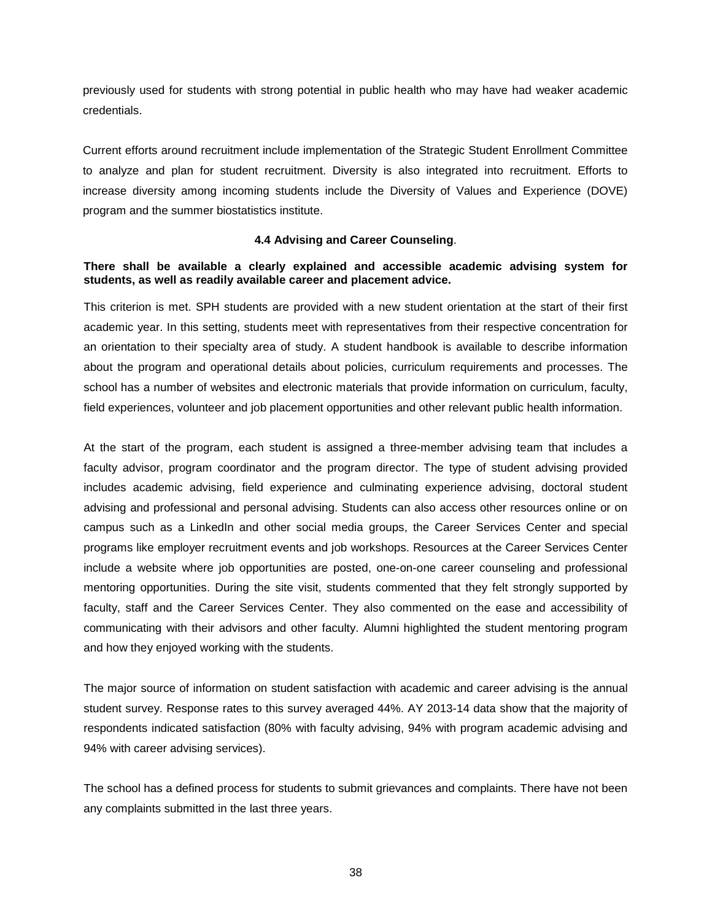previously used for students with strong potential in public health who may have had weaker academic credentials.

Current efforts around recruitment include implementation of the Strategic Student Enrollment Committee to analyze and plan for student recruitment. Diversity is also integrated into recruitment. Efforts to increase diversity among incoming students include the Diversity of Values and Experience (DOVE) program and the summer biostatistics institute.

## **4.4 Advising and Career Counseling**.

# <span id="page-40-0"></span>**There shall be available a clearly explained and accessible academic advising system for students, as well as readily available career and placement advice.**

This criterion is met. SPH students are provided with a new student orientation at the start of their first academic year. In this setting, students meet with representatives from their respective concentration for an orientation to their specialty area of study. A student handbook is available to describe information about the program and operational details about policies, curriculum requirements and processes. The school has a number of websites and electronic materials that provide information on curriculum, faculty, field experiences, volunteer and job placement opportunities and other relevant public health information.

At the start of the program, each student is assigned a three-member advising team that includes a faculty advisor, program coordinator and the program director. The type of student advising provided includes academic advising, field experience and culminating experience advising, doctoral student advising and professional and personal advising. Students can also access other resources online or on campus such as a LinkedIn and other social media groups, the Career Services Center and special programs like employer recruitment events and job workshops. Resources at the Career Services Center include a website where job opportunities are posted, one-on-one career counseling and professional mentoring opportunities. During the site visit, students commented that they felt strongly supported by faculty, staff and the Career Services Center. They also commented on the ease and accessibility of communicating with their advisors and other faculty. Alumni highlighted the student mentoring program and how they enjoyed working with the students.

The major source of information on student satisfaction with academic and career advising is the annual student survey. Response rates to this survey averaged 44%. AY 2013-14 data show that the majority of respondents indicated satisfaction (80% with faculty advising, 94% with program academic advising and 94% with career advising services).

The school has a defined process for students to submit grievances and complaints. There have not been any complaints submitted in the last three years.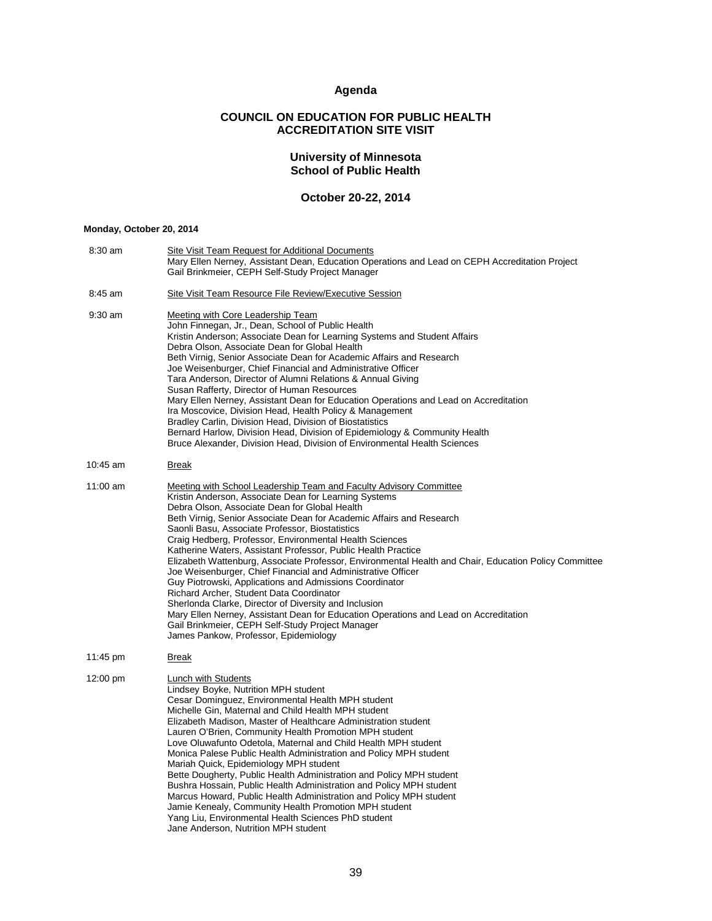# **Agenda**

# **COUNCIL ON EDUCATION FOR PUBLIC HEALTH ACCREDITATION SITE VISIT**

#### **University of Minnesota School of Public Health**

# **October 20-22, 2014**

#### <span id="page-41-0"></span>**Monday, October 20, 2014**

| 8:30 am    | <b>Site Visit Team Request for Additional Documents</b><br>Mary Ellen Nerney, Assistant Dean, Education Operations and Lead on CEPH Accreditation Project<br>Gail Brinkmeier, CEPH Self-Study Project Manager                                                                                                                                                                                                                                                                                                                                                                                                                                                                                                                                                                                                                                                                                                                                                            |
|------------|--------------------------------------------------------------------------------------------------------------------------------------------------------------------------------------------------------------------------------------------------------------------------------------------------------------------------------------------------------------------------------------------------------------------------------------------------------------------------------------------------------------------------------------------------------------------------------------------------------------------------------------------------------------------------------------------------------------------------------------------------------------------------------------------------------------------------------------------------------------------------------------------------------------------------------------------------------------------------|
| $8:45$ am  | Site Visit Team Resource File Review/Executive Session                                                                                                                                                                                                                                                                                                                                                                                                                                                                                                                                                                                                                                                                                                                                                                                                                                                                                                                   |
| $9:30$ am  | <b>Meeting with Core Leadership Team</b><br>John Finnegan, Jr., Dean, School of Public Health<br>Kristin Anderson; Associate Dean for Learning Systems and Student Affairs<br>Debra Olson, Associate Dean for Global Health<br>Beth Virnig, Senior Associate Dean for Academic Affairs and Research<br>Joe Weisenburger, Chief Financial and Administrative Officer<br>Tara Anderson, Director of Alumni Relations & Annual Giving<br>Susan Rafferty, Director of Human Resources<br>Mary Ellen Nerney, Assistant Dean for Education Operations and Lead on Accreditation<br>Ira Moscovice, Division Head, Health Policy & Management<br>Bradley Carlin, Division Head, Division of Biostatistics<br>Bernard Harlow, Division Head, Division of Epidemiology & Community Health<br>Bruce Alexander, Division Head, Division of Environmental Health Sciences                                                                                                             |
| 10:45 am   | <b>Break</b>                                                                                                                                                                                                                                                                                                                                                                                                                                                                                                                                                                                                                                                                                                                                                                                                                                                                                                                                                             |
| $11:00$ am | <b>Meeting with School Leadership Team and Faculty Advisory Committee</b><br>Kristin Anderson, Associate Dean for Learning Systems<br>Debra Olson, Associate Dean for Global Health<br>Beth Virnig, Senior Associate Dean for Academic Affairs and Research<br>Saonli Basu, Associate Professor, Biostatistics<br>Craig Hedberg, Professor, Environmental Health Sciences<br>Katherine Waters, Assistant Professor, Public Health Practice<br>Elizabeth Wattenburg, Associate Professor, Environmental Health and Chair, Education Policy Committee<br>Joe Weisenburger, Chief Financial and Administrative Officer<br>Guy Piotrowski, Applications and Admissions Coordinator<br>Richard Archer, Student Data Coordinator<br>Sherlonda Clarke, Director of Diversity and Inclusion<br>Mary Ellen Nerney, Assistant Dean for Education Operations and Lead on Accreditation<br>Gail Brinkmeier, CEPH Self-Study Project Manager<br>James Pankow, Professor, Epidemiology |
| 11:45 pm   | <u>Break</u>                                                                                                                                                                                                                                                                                                                                                                                                                                                                                                                                                                                                                                                                                                                                                                                                                                                                                                                                                             |
| 12:00 pm   | Lunch with Students<br>Lindsey Boyke, Nutrition MPH student<br>Cesar Dominguez, Environmental Health MPH student<br>Michelle Gin, Maternal and Child Health MPH student<br>Elizabeth Madison, Master of Healthcare Administration student<br>Lauren O'Brien, Community Health Promotion MPH student<br>Love Oluwafunto Odetola, Maternal and Child Health MPH student<br>Monica Palese Public Health Administration and Policy MPH student<br>Mariah Quick, Epidemiology MPH student<br>Bette Dougherty, Public Health Administration and Policy MPH student<br>Bushra Hossain, Public Health Administration and Policy MPH student<br>Marcus Howard, Public Health Administration and Policy MPH student<br>Jamie Kenealy, Community Health Promotion MPH student<br>Yang Liu, Environmental Health Sciences PhD student<br>Jane Anderson, Nutrition MPH student                                                                                                        |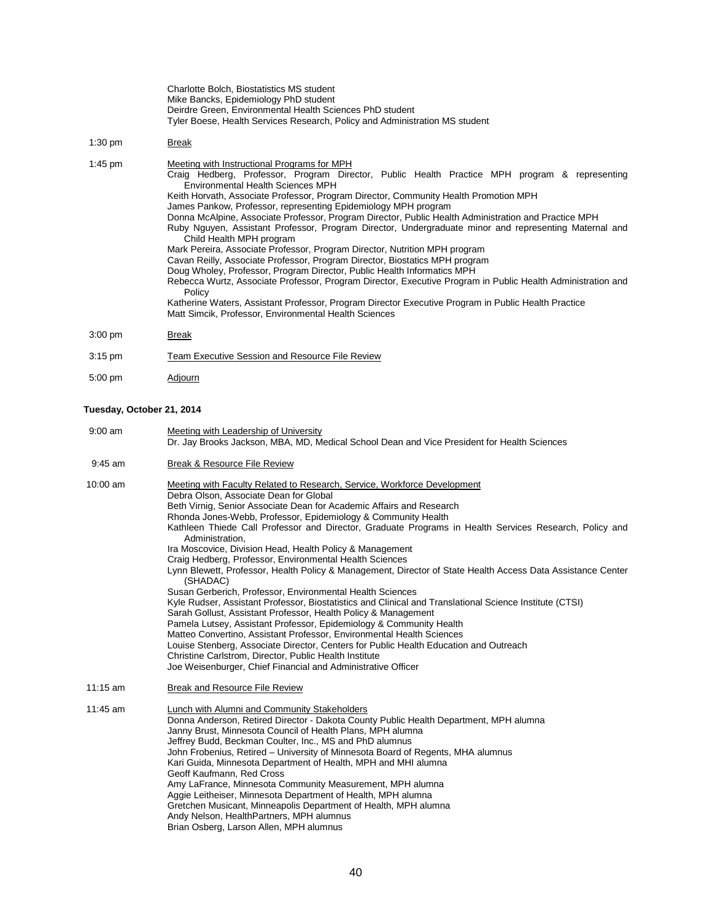|                           | Charlotte Bolch, Biostatistics MS student<br>Mike Bancks, Epidemiology PhD student<br>Deirdre Green, Environmental Health Sciences PhD student<br>Tyler Boese, Health Services Research, Policy and Administration MS student                                                                                                                                                                                                                                                                                                                                                                                                                                                                                                                                                                                                                                                                                                                                                                                                                                                                                                    |
|---------------------------|----------------------------------------------------------------------------------------------------------------------------------------------------------------------------------------------------------------------------------------------------------------------------------------------------------------------------------------------------------------------------------------------------------------------------------------------------------------------------------------------------------------------------------------------------------------------------------------------------------------------------------------------------------------------------------------------------------------------------------------------------------------------------------------------------------------------------------------------------------------------------------------------------------------------------------------------------------------------------------------------------------------------------------------------------------------------------------------------------------------------------------|
| $1:30$ pm                 | <b>Break</b>                                                                                                                                                                                                                                                                                                                                                                                                                                                                                                                                                                                                                                                                                                                                                                                                                                                                                                                                                                                                                                                                                                                     |
| 1:45 pm                   | Meeting with Instructional Programs for MPH<br>Craig Hedberg, Professor, Program Director, Public Health Practice MPH program & representing<br><b>Environmental Health Sciences MPH</b><br>Keith Horvath, Associate Professor, Program Director, Community Health Promotion MPH<br>James Pankow, Professor, representing Epidemiology MPH program<br>Donna McAlpine, Associate Professor, Program Director, Public Health Administration and Practice MPH<br>Ruby Nguyen, Assistant Professor, Program Director, Undergraduate minor and representing Maternal and<br>Child Health MPH program<br>Mark Pereira, Associate Professor, Program Director, Nutrition MPH program<br>Cavan Reilly, Associate Professor, Program Director, Biostatics MPH program<br>Doug Wholey, Professor, Program Director, Public Health Informatics MPH<br>Rebecca Wurtz, Associate Professor, Program Director, Executive Program in Public Health Administration and<br>Policy<br>Katherine Waters, Assistant Professor, Program Director Executive Program in Public Health Practice<br>Matt Simcik, Professor, Environmental Health Sciences |
| $3:00$ pm                 | <b>Break</b>                                                                                                                                                                                                                                                                                                                                                                                                                                                                                                                                                                                                                                                                                                                                                                                                                                                                                                                                                                                                                                                                                                                     |
| $3:15$ pm                 | <b>Team Executive Session and Resource File Review</b>                                                                                                                                                                                                                                                                                                                                                                                                                                                                                                                                                                                                                                                                                                                                                                                                                                                                                                                                                                                                                                                                           |
| $5:00$ pm                 | <u>Adjourn</u>                                                                                                                                                                                                                                                                                                                                                                                                                                                                                                                                                                                                                                                                                                                                                                                                                                                                                                                                                                                                                                                                                                                   |
| Tuesday, October 21, 2014 |                                                                                                                                                                                                                                                                                                                                                                                                                                                                                                                                                                                                                                                                                                                                                                                                                                                                                                                                                                                                                                                                                                                                  |
| $9:00$ am                 | Meeting with Leadership of University<br>Dr. Jay Brooks Jackson, MBA, MD, Medical School Dean and Vice President for Health Sciences                                                                                                                                                                                                                                                                                                                                                                                                                                                                                                                                                                                                                                                                                                                                                                                                                                                                                                                                                                                             |
| $9:45$ am                 | Break & Resource File Review                                                                                                                                                                                                                                                                                                                                                                                                                                                                                                                                                                                                                                                                                                                                                                                                                                                                                                                                                                                                                                                                                                     |
| 10:00 am                  | Meeting with Faculty Related to Research, Service, Workforce Development<br>Debra Olson, Associate Dean for Global<br>Beth Virnig, Senior Associate Dean for Academic Affairs and Research<br>Rhonda Jones-Webb, Professor, Epidemiology & Community Health<br>Kathleen Thiede Call Professor and Director, Graduate Programs in Health Services Research, Policy and<br>Administration,<br>Ira Moscovice, Division Head, Health Policy & Management<br>Craig Hedberg, Professor, Environmental Health Sciences<br>Lynn Blewett, Professor, Health Policy & Management, Director of State Health Access Data Assistance Center<br>(SHADAC)<br>Susan Gerberich, Professor, Environmental Health Sciences<br>Kyle Rudser, Assistant Professor, Biostatistics and Clinical and Translational Science Institute (CTSI)<br>Sarah Gollust, Assistant Professor, Health Policy & Management                                                                                                                                                                                                                                             |

- 
- Pamela Lutsey, Assistant Professor, Epidemiology & Community Health
- Matteo Convertino, Assistant Professor, Environmental Health Sciences
- Louise Stenberg, Associate Director, Centers for Public Health Education and Outreach
- Christine Carlstrom, Director, Public Health Institute
- Joe Weisenburger, Chief Financial and Administrative Officer
- 11:15 am Break and Resource File Review

| 11:45 am | Lunch with Alumni and Community Stakeholders<br>Donna Anderson, Retired Director - Dakota County Public Health Department, MPH alumna<br>Janny Brust, Minnesota Council of Health Plans, MPH alumna<br>Jeffrey Budd, Beckman Coulter, Inc., MS and PhD alumnus<br>John Frobenius, Retired – University of Minnesota Board of Regents, MHA alumnus<br>Kari Guida, Minnesota Department of Health, MPH and MHI alumna<br>Geoff Kaufmann, Red Cross<br>Amy LaFrance, Minnesota Community Measurement, MPH alumna<br>Aggie Leitheiser, Minnesota Department of Health, MPH alumna<br>Gretchen Musicant, Minneapolis Department of Health, MPH alumna |
|----------|--------------------------------------------------------------------------------------------------------------------------------------------------------------------------------------------------------------------------------------------------------------------------------------------------------------------------------------------------------------------------------------------------------------------------------------------------------------------------------------------------------------------------------------------------------------------------------------------------------------------------------------------------|
|          | Andy Nelson, HealthPartners, MPH alumnus<br>Brian Osberg, Larson Allen, MPH alumnus                                                                                                                                                                                                                                                                                                                                                                                                                                                                                                                                                              |